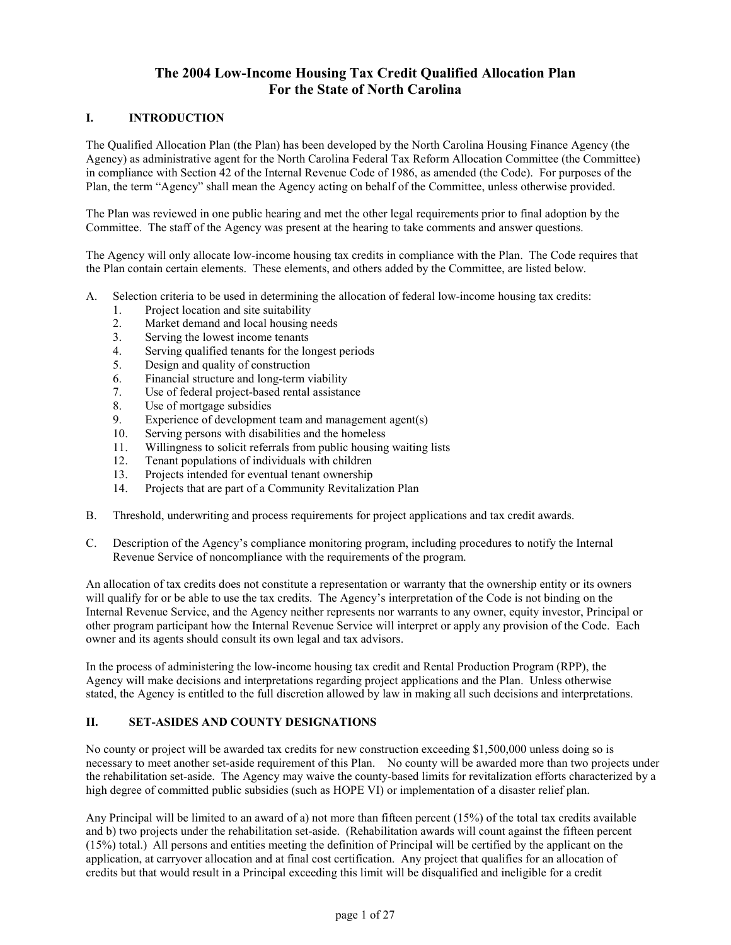# **The 2004 Low-Income Housing Tax Credit Qualified Allocation Plan For the State of North Carolina**

# **I. INTRODUCTION**

The Qualified Allocation Plan (the Plan) has been developed by the North Carolina Housing Finance Agency (the Agency) as administrative agent for the North Carolina Federal Tax Reform Allocation Committee (the Committee) in compliance with Section 42 of the Internal Revenue Code of 1986, as amended (the Code). For purposes of the Plan, the term "Agency" shall mean the Agency acting on behalf of the Committee, unless otherwise provided.

The Plan was reviewed in one public hearing and met the other legal requirements prior to final adoption by the Committee. The staff of the Agency was present at the hearing to take comments and answer questions.

The Agency will only allocate low-income housing tax credits in compliance with the Plan. The Code requires that the Plan contain certain elements. These elements, and others added by the Committee, are listed below.

- A. Selection criteria to be used in determining the allocation of federal low-income housing tax credits:
	- 1. Project location and site suitability
	- 2. Market demand and local housing needs
	- 3. Serving the lowest income tenants
	- 4. Serving qualified tenants for the longest periods
	- 5. Design and quality of construction
	- 6. Financial structure and long-term viability
	- 7. Use of federal project-based rental assistance
	- 8. Use of mortgage subsidies
	- 9. Experience of development team and management agent(s)
	- 10. Serving persons with disabilities and the homeless
	- 11. Willingness to solicit referrals from public housing waiting lists
	- 12. Tenant populations of individuals with children
	- 13. Projects intended for eventual tenant ownership
	- 14. Projects that are part of a Community Revitalization Plan
- B. Threshold, underwriting and process requirements for project applications and tax credit awards.
- C. Description of the Agency's compliance monitoring program, including procedures to notify the Internal Revenue Service of noncompliance with the requirements of the program.

An allocation of tax credits does not constitute a representation or warranty that the ownership entity or its owners will qualify for or be able to use the tax credits. The Agency's interpretation of the Code is not binding on the Internal Revenue Service, and the Agency neither represents nor warrants to any owner, equity investor, Principal or other program participant how the Internal Revenue Service will interpret or apply any provision of the Code. Each owner and its agents should consult its own legal and tax advisors.

In the process of administering the low-income housing tax credit and Rental Production Program (RPP), the Agency will make decisions and interpretations regarding project applications and the Plan. Unless otherwise stated, the Agency is entitled to the full discretion allowed by law in making all such decisions and interpretations.

### **II. SET-ASIDES AND COUNTY DESIGNATIONS**

No county or project will be awarded tax credits for new construction exceeding \$1,500,000 unless doing so is necessary to meet another set-aside requirement of this Plan. No county will be awarded more than two projects under the rehabilitation set-aside. The Agency may waive the county-based limits for revitalization efforts characterized by a high degree of committed public subsidies (such as HOPE VI) or implementation of a disaster relief plan.

Any Principal will be limited to an award of a) not more than fifteen percent (15%) of the total tax credits available and b) two projects under the rehabilitation set-aside. (Rehabilitation awards will count against the fifteen percent (15%) total.) All persons and entities meeting the definition of Principal will be certified by the applicant on the application, at carryover allocation and at final cost certification. Any project that qualifies for an allocation of credits but that would result in a Principal exceeding this limit will be disqualified and ineligible for a credit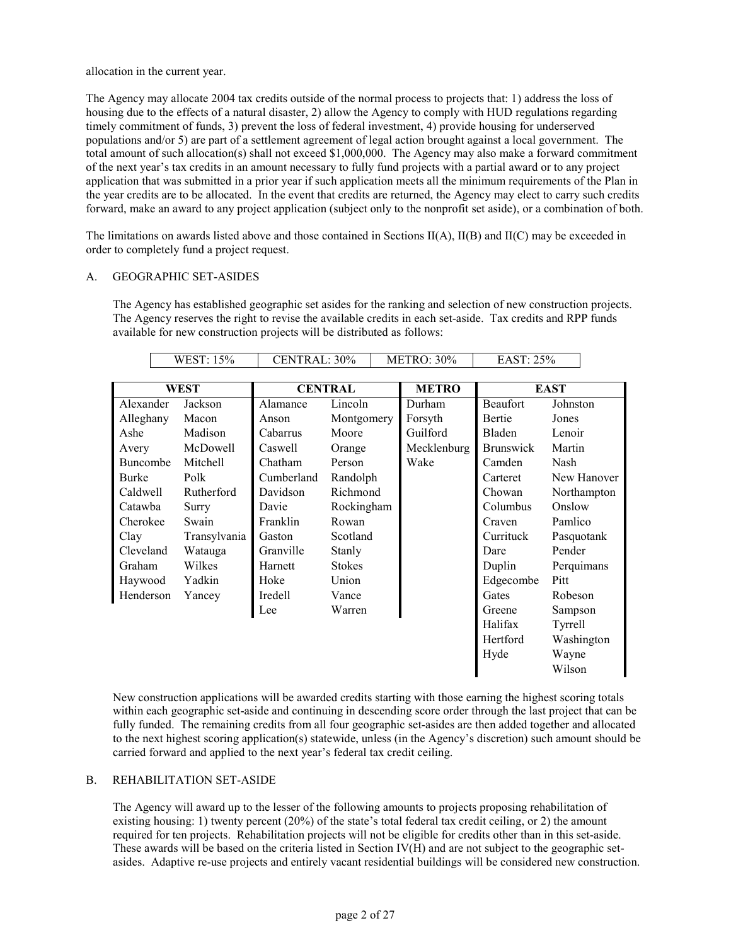allocation in the current year.

The Agency may allocate 2004 tax credits outside of the normal process to projects that: 1) address the loss of housing due to the effects of a natural disaster, 2) allow the Agency to comply with HUD regulations regarding timely commitment of funds, 3) prevent the loss of federal investment, 4) provide housing for underserved populations and/or 5) are part of a settlement agreement of legal action brought against a local government. The total amount of such allocation(s) shall not exceed \$1,000,000. The Agency may also make a forward commitment of the next year's tax credits in an amount necessary to fully fund projects with a partial award or to any project application that was submitted in a prior year if such application meets all the minimum requirements of the Plan in the year credits are to be allocated. In the event that credits are returned, the Agency may elect to carry such credits forward, make an award to any project application (subject only to the nonprofit set aside), or a combination of both.

The limitations on awards listed above and those contained in Sections  $II(A)$ ,  $II(B)$  and  $II(C)$  may be exceeded in order to completely fund a project request.

### A. GEOGRAPHIC SET-ASIDES

The Agency has established geographic set asides for the ranking and selection of new construction projects. The Agency reserves the right to revise the available credits in each set-aside. Tax credits and RPP funds available for new construction projects will be distributed as follows:

 $WEST: 15\%$  CENTRAL:  $30\%$  METRO:  $30\%$  EAST: 25%

┓

|           | <b>\\LOI.IJ</b> /U | CLIVINAL. 2070 |                | 1711 11 11 10 7 0 7 0 | LAO 1, 2070      |             |
|-----------|--------------------|----------------|----------------|-----------------------|------------------|-------------|
|           |                    |                |                |                       |                  |             |
|           | WEST               |                | <b>CENTRAL</b> | <b>METRO</b>          |                  | <b>EAST</b> |
| Alexander | Jackson            | Alamance       | Lincoln        | Durham                | <b>Beaufort</b>  | Johnston    |
| Alleghany | Macon              | Anson          | Montgomery     | Forsyth               | Bertie           | Jones       |
| Ashe      | Madison            | Cabarrus       | Moore          | Guilford              | Bladen           | Lenoir      |
| Avery     | McDowell           | Caswell        | Orange         | Mecklenburg           | <b>Brunswick</b> | Martin      |
| Buncombe  | Mitchell           | Chatham        | Person         | Wake                  | Camden           | Nash        |
| Burke     | Polk               | Cumberland     | Randolph       |                       | Carteret         | New Hanover |
| Caldwell  | Rutherford         | Davidson       | Richmond       |                       | Chowan           | Northampton |
| Catawba   | Surry              | Davie          | Rockingham     |                       | Columbus         | Onslow      |
| Cherokee  | Swain              | Franklin       | Rowan          |                       | Craven           | Pamlico     |
| Clay      | Transylvania       | Gaston         | Scotland       |                       | Currituck        | Pasquotank  |
| Cleveland | Watauga            | Granville      | Stanly         |                       | Dare             | Pender      |
| Graham    | Wilkes             | Harnett        | <b>Stokes</b>  |                       | Duplin           | Perquimans  |
| Haywood   | Yadkin             | Hoke           | Union          |                       | Edgecombe        | Pitt        |
| Henderson | Yancey             | Iredell        | Vance          |                       | Gates            | Robeson     |
|           |                    | Lee            | Warren         |                       | Greene           | Sampson     |
|           |                    |                |                |                       | Halifax          | Tyrrell     |
|           |                    |                |                |                       | Hertford         | Washington  |
|           |                    |                |                |                       | Hyde             | Wayne       |
|           |                    |                |                |                       |                  | Wilson      |

New construction applications will be awarded credits starting with those earning the highest scoring totals within each geographic set-aside and continuing in descending score order through the last project that can be fully funded. The remaining credits from all four geographic set-asides are then added together and allocated to the next highest scoring application(s) statewide, unless (in the Agency's discretion) such amount should be carried forward and applied to the next year's federal tax credit ceiling.

### B. REHABILITATION SET-ASIDE

The Agency will award up to the lesser of the following amounts to projects proposing rehabilitation of existing housing: 1) twenty percent (20%) of the state's total federal tax credit ceiling, or 2) the amount required for ten projects. Rehabilitation projects will not be eligible for credits other than in this set-aside. These awards will be based on the criteria listed in Section IV(H) and are not subject to the geographic setasides. Adaptive re-use projects and entirely vacant residential buildings will be considered new construction.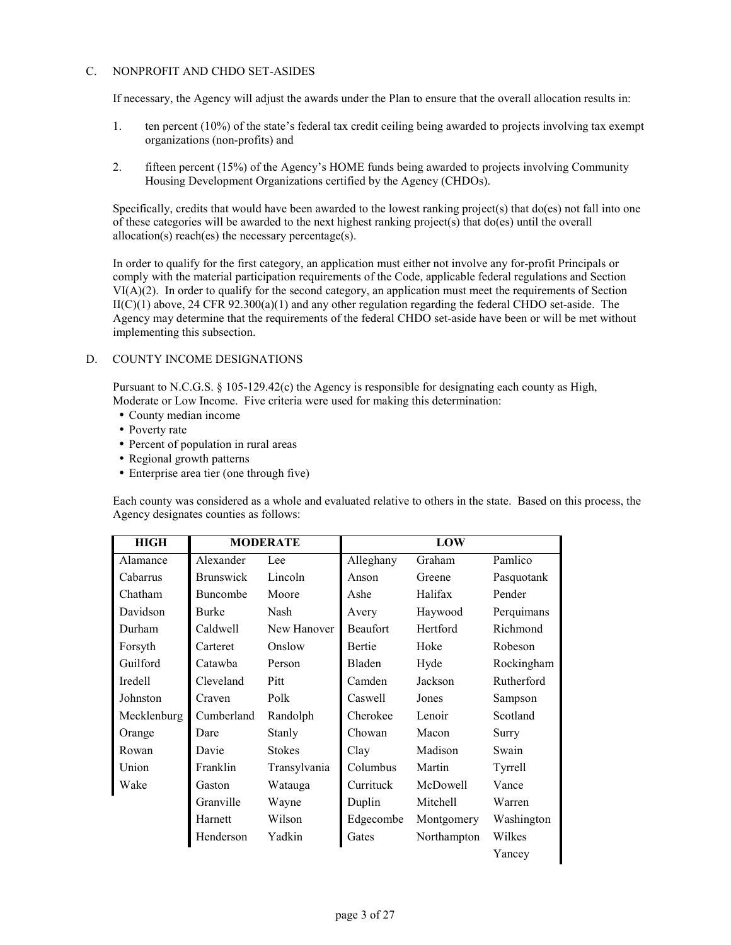### C. NONPROFIT AND CHDO SET-ASIDES

If necessary, the Agency will adjust the awards under the Plan to ensure that the overall allocation results in:

- 1. ten percent (10%) of the state's federal tax credit ceiling being awarded to projects involving tax exempt organizations (non-profits) and
- 2. fifteen percent (15%) of the Agency's HOME funds being awarded to projects involving Community Housing Development Organizations certified by the Agency (CHDOs).

Specifically, credits that would have been awarded to the lowest ranking project(s) that do(es) not fall into one of these categories will be awarded to the next highest ranking project(s) that do(es) until the overall allocation(s) reach(es) the necessary percentage(s).

In order to qualify for the first category, an application must either not involve any for-profit Principals or comply with the material participation requirements of the Code, applicable federal regulations and Section VI(A)(2). In order to qualify for the second category, an application must meet the requirements of Section  $II(C)(1)$  above, 24 CFR 92.300(a)(1) and any other regulation regarding the federal CHDO set-aside. The Agency may determine that the requirements of the federal CHDO set-aside have been or will be met without implementing this subsection.

### D. COUNTY INCOME DESIGNATIONS

Pursuant to N.C.G.S. § 105-129.42(c) the Agency is responsible for designating each county as High, Moderate or Low Income. Five criteria were used for making this determination:

- County median income
- Poverty rate
- Percent of population in rural areas
- Regional growth patterns
- Enterprise area tier (one through five)

Each county was considered as a whole and evaluated relative to others in the state. Based on this process, the Agency designates counties as follows:

| <b>HIGH</b> | <b>MODERATE</b>  |               |                 |             |            |
|-------------|------------------|---------------|-----------------|-------------|------------|
| Alamance    | Alexander<br>Lee |               | Alleghany       | Graham      | Pamlico    |
| Cabarrus    | <b>Brunswick</b> | Lincoln       | Anson           | Greene      | Pasquotank |
| Chatham     | Buncombe         | Moore         | Ashe            | Halifax     | Pender     |
| Davidson    | <b>Burke</b>     | Nash          | Avery           | Haywood     | Perquimans |
| Durham      | Caldwell         | New Hanover   | <b>Beaufort</b> | Hertford    | Richmond   |
| Forsyth     | Carteret         | Onslow        | <b>Bertie</b>   | Hoke        | Robeson    |
| Guilford    | Catawba          | Person        | Bladen          | Hyde        | Rockingham |
| Iredell     | Cleveland        | Pitt          | Camden          | Jackson     | Rutherford |
| Johnston    | Craven           | Polk          | Caswell         | Jones       | Sampson    |
| Mecklenburg | Cumberland       | Randolph      | Cherokee        | Lenoir      | Scotland   |
| Orange      | Dare             | Stanly        | Chowan          | Macon       | Surry      |
| Rowan       | Davie            | <b>Stokes</b> | Clay            | Madison     | Swain      |
| Union       | Franklin         | Transylvania  | Columbus        | Martin      | Tyrrell    |
| Wake        | Gaston           | Watauga       | Currituck       | McDowell    | Vance      |
|             | Granville        | Wayne         | Duplin          | Mitchell    | Warren     |
|             | Harnett          | Wilson        | Edgecombe       | Montgomery  | Washington |
|             | Henderson        | Yadkin        | Gates           | Northampton | Wilkes     |
|             |                  |               |                 |             | Yancey     |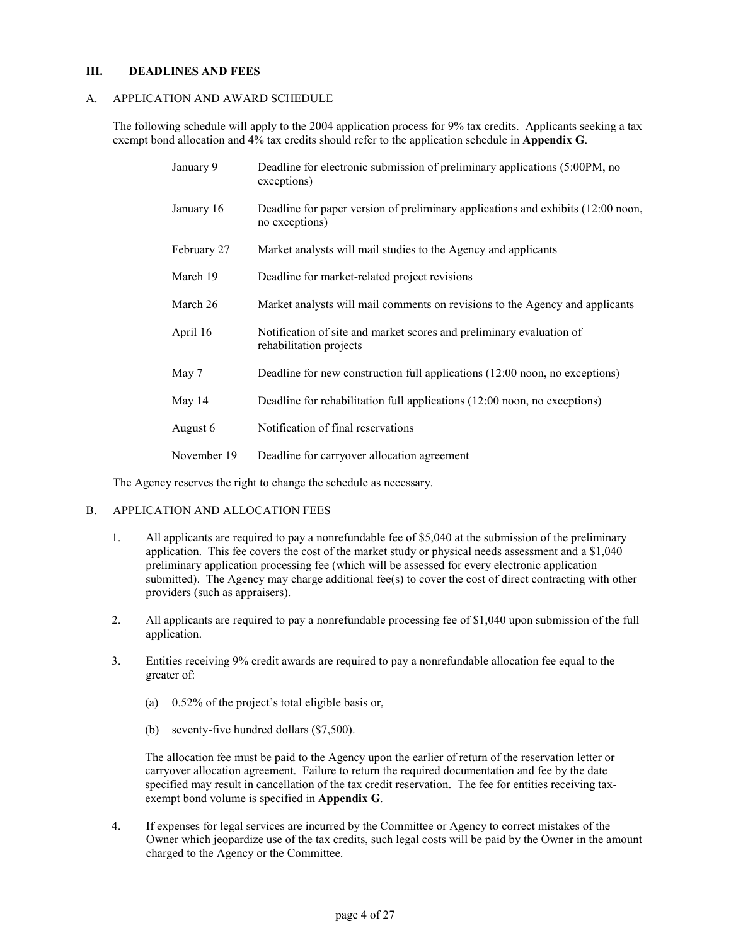### **III. DEADLINES AND FEES**

### A. APPLICATION AND AWARD SCHEDULE

The following schedule will apply to the 2004 application process for 9% tax credits. Applicants seeking a tax exempt bond allocation and 4% tax credits should refer to the application schedule in **Appendix G**.

| January 9   | Deadline for electronic submission of preliminary applications (5:00PM, no<br>exceptions)          |
|-------------|----------------------------------------------------------------------------------------------------|
| January 16  | Deadline for paper version of preliminary applications and exhibits (12:00 noon,<br>no exceptions) |
| February 27 | Market analysts will mail studies to the Agency and applicants                                     |
| March 19    | Deadline for market-related project revisions                                                      |
| March 26    | Market analysts will mail comments on revisions to the Agency and applicants                       |
| April 16    | Notification of site and market scores and preliminary evaluation of<br>rehabilitation projects    |
| May 7       | Deadline for new construction full applications (12:00 noon, no exceptions)                        |
| May 14      | Deadline for rehabilitation full applications (12:00 noon, no exceptions)                          |
| August 6    | Notification of final reservations                                                                 |
| November 19 | Deadline for carryover allocation agreement                                                        |

The Agency reserves the right to change the schedule as necessary.

#### B. APPLICATION AND ALLOCATION FEES

- 1. All applicants are required to pay a nonrefundable fee of \$5,040 at the submission of the preliminary application. This fee covers the cost of the market study or physical needs assessment and a \$1,040 preliminary application processing fee (which will be assessed for every electronic application submitted). The Agency may charge additional fee(s) to cover the cost of direct contracting with other providers (such as appraisers).
- 2. All applicants are required to pay a nonrefundable processing fee of \$1,040 upon submission of the full application.
- 3. Entities receiving 9% credit awards are required to pay a nonrefundable allocation fee equal to the greater of:
	- (a) 0.52% of the project's total eligible basis or,
	- (b) seventy-five hundred dollars (\$7,500).

The allocation fee must be paid to the Agency upon the earlier of return of the reservation letter or carryover allocation agreement. Failure to return the required documentation and fee by the date specified may result in cancellation of the tax credit reservation. The fee for entities receiving taxexempt bond volume is specified in **Appendix G**.

4. If expenses for legal services are incurred by the Committee or Agency to correct mistakes of the Owner which jeopardize use of the tax credits, such legal costs will be paid by the Owner in the amount charged to the Agency or the Committee.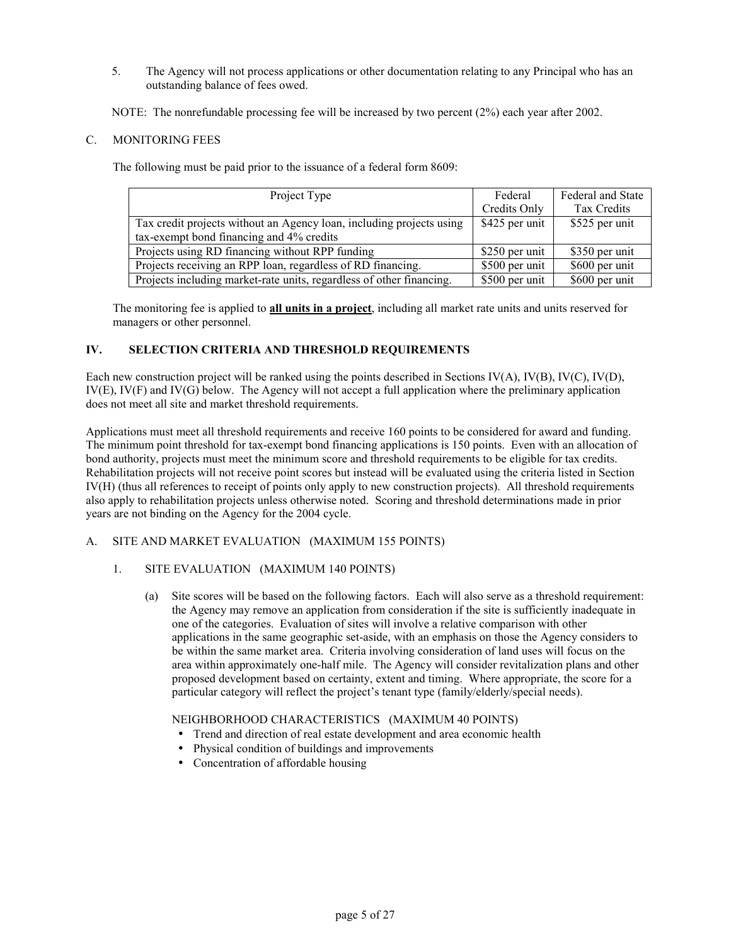5. The Agency will not process applications or other documentation relating to any Principal who has an outstanding balance of fees owed.

NOTE: The nonrefundable processing fee will be increased by two percent (2%) each year after 2002.

# C. MONITORING FEES

The following must be paid prior to the issuance of a federal form 8609:

| Project Type                                                         | Federal         | Federal and State |
|----------------------------------------------------------------------|-----------------|-------------------|
|                                                                      | Credits Only    | Tax Credits       |
| Tax credit projects without an Agency loan, including projects using | \$425 per unit  | \$525 per unit    |
| tax-exempt bond financing and 4% credits                             |                 |                   |
| Projects using RD financing without RPP funding                      | \$250 per unit  | \$350 per unit    |
| Projects receiving an RPP loan, regardless of RD financing.          | \$500 per unit  | \$600 per unit    |
| Projects including market-rate units, regardless of other financing. | $$500$ per unit | \$600 per unit    |

The monitoring fee is applied to **all units in a project**, including all market rate units and units reserved for managers or other personnel.

# **IV. SELECTION CRITERIA AND THRESHOLD REQUIREMENTS**

Each new construction project will be ranked using the points described in Sections IV(A), IV(B), IV(C), IV(D), IV(E), IV(F) and IV(G) below. The Agency will not accept a full application where the preliminary application does not meet all site and market threshold requirements.

Applications must meet all threshold requirements and receive 160 points to be considered for award and funding. The minimum point threshold for tax-exempt bond financing applications is 150 points. Even with an allocation of bond authority, projects must meet the minimum score and threshold requirements to be eligible for tax credits. Rehabilitation projects will not receive point scores but instead will be evaluated using the criteria listed in Section IV(H) (thus all references to receipt of points only apply to new construction projects). All threshold requirements also apply to rehabilitation projects unless otherwise noted. Scoring and threshold determinations made in prior years are not binding on the Agency for the 2004 cycle.

# A. SITE AND MARKET EVALUATION (MAXIMUM 155 POINTS)

### 1. SITE EVALUATION (MAXIMUM 140 POINTS)

(a) Site scores will be based on the following factors. Each will also serve as a threshold requirement: the Agency may remove an application from consideration if the site is sufficiently inadequate in one of the categories. Evaluation of sites will involve a relative comparison with other applications in the same geographic set-aside, with an emphasis on those the Agency considers to be within the same market area. Criteria involving consideration of land uses will focus on the area within approximately one-half mile. The Agency will consider revitalization plans and other proposed development based on certainty, extent and timing. Where appropriate, the score for a particular category will reflect the project's tenant type (family/elderly/special needs).

### NEIGHBORHOOD CHARACTERISTICS (MAXIMUM 40 POINTS)

- Trend and direction of real estate development and area economic health
- Physical condition of buildings and improvements
- Concentration of affordable housing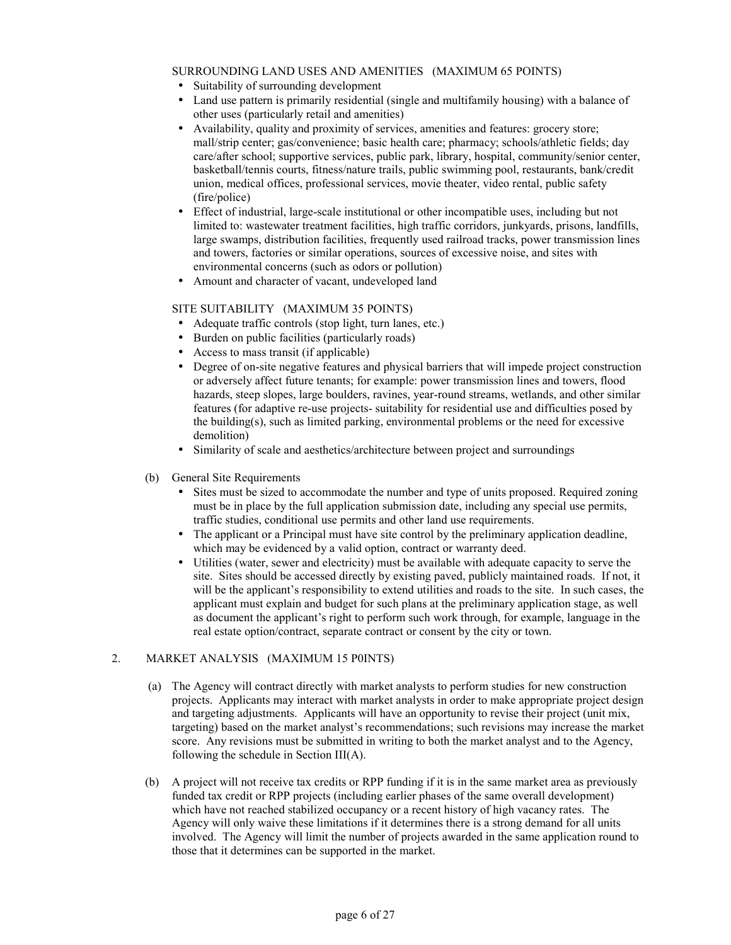### SURROUNDING LAND USES AND AMENITIES (MAXIMUM 65 POINTS)

- Suitability of surrounding development
- Land use pattern is primarily residential (single and multifamily housing) with a balance of other uses (particularly retail and amenities)
- Availability, quality and proximity of services, amenities and features: grocery store; mall/strip center; gas/convenience; basic health care; pharmacy; schools/athletic fields; day care/after school; supportive services, public park, library, hospital, community/senior center, basketball/tennis courts, fitness/nature trails, public swimming pool, restaurants, bank/credit union, medical offices, professional services, movie theater, video rental, public safety (fire/police)
- Effect of industrial, large-scale institutional or other incompatible uses, including but not limited to: wastewater treatment facilities, high traffic corridors, junkyards, prisons, landfills, large swamps, distribution facilities, frequently used railroad tracks, power transmission lines and towers, factories or similar operations, sources of excessive noise, and sites with environmental concerns (such as odors or pollution)
- Amount and character of vacant, undeveloped land

### SITE SUITABILITY (MAXIMUM 35 POINTS)

- Adequate traffic controls (stop light, turn lanes, etc.)
- Burden on public facilities (particularly roads)
- Access to mass transit (if applicable)
- Degree of on-site negative features and physical barriers that will impede project construction or adversely affect future tenants; for example: power transmission lines and towers, flood hazards, steep slopes, large boulders, ravines, year-round streams, wetlands, and other similar features (for adaptive re-use projects- suitability for residential use and difficulties posed by the building(s), such as limited parking, environmental problems or the need for excessive demolition)
- Similarity of scale and aesthetics/architecture between project and surroundings
- (b) General Site Requirements
	- Sites must be sized to accommodate the number and type of units proposed. Required zoning must be in place by the full application submission date, including any special use permits, traffic studies, conditional use permits and other land use requirements.
	- The applicant or a Principal must have site control by the preliminary application deadline, which may be evidenced by a valid option, contract or warranty deed.
	- Utilities (water, sewer and electricity) must be available with adequate capacity to serve the site. Sites should be accessed directly by existing paved, publicly maintained roads. If not, it will be the applicant's responsibility to extend utilities and roads to the site. In such cases, the applicant must explain and budget for such plans at the preliminary application stage, as well as document the applicant's right to perform such work through, for example, language in the real estate option/contract, separate contract or consent by the city or town.

### 2. MARKET ANALYSIS (MAXIMUM 15 P0INTS)

- (a) The Agency will contract directly with market analysts to perform studies for new construction projects. Applicants may interact with market analysts in order to make appropriate project design and targeting adjustments. Applicants will have an opportunity to revise their project (unit mix, targeting) based on the market analyst's recommendations; such revisions may increase the market score. Any revisions must be submitted in writing to both the market analyst and to the Agency, following the schedule in Section III(A).
- (b) A project will not receive tax credits or RPP funding if it is in the same market area as previously funded tax credit or RPP projects (including earlier phases of the same overall development) which have not reached stabilized occupancy or a recent history of high vacancy rates. The Agency will only waive these limitations if it determines there is a strong demand for all units involved. The Agency will limit the number of projects awarded in the same application round to those that it determines can be supported in the market.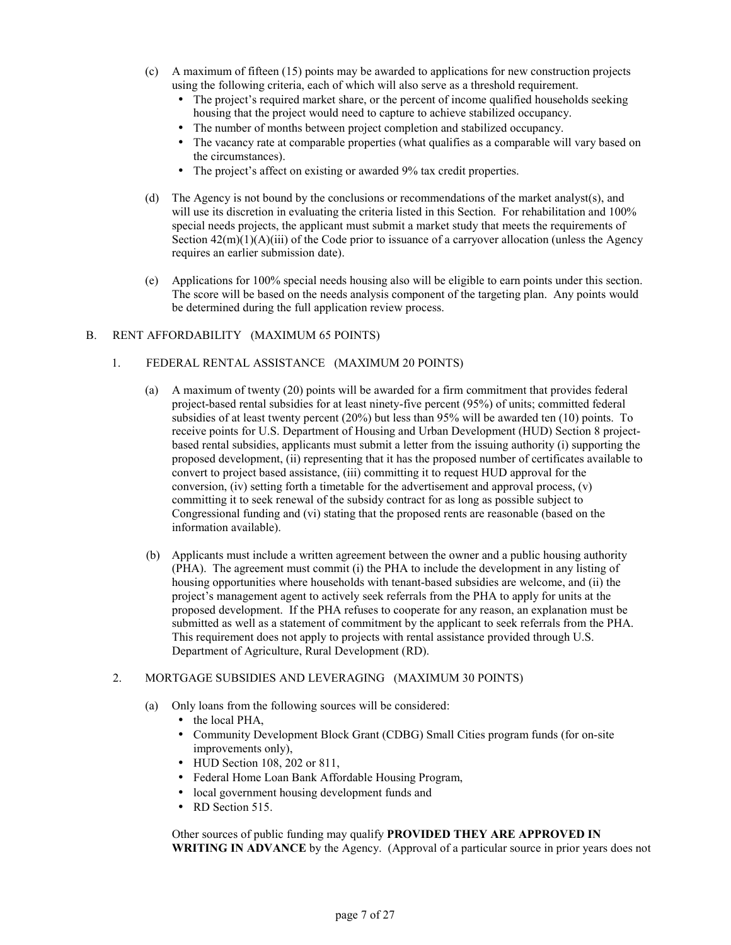- (c) A maximum of fifteen (15) points may be awarded to applications for new construction projects using the following criteria, each of which will also serve as a threshold requirement.
	- The project's required market share, or the percent of income qualified households seeking housing that the project would need to capture to achieve stabilized occupancy.
	- The number of months between project completion and stabilized occupancy.
	- The vacancy rate at comparable properties (what qualifies as a comparable will vary based on the circumstances).
	- The project's affect on existing or awarded 9% tax credit properties.
- (d) The Agency is not bound by the conclusions or recommendations of the market analyst(s), and will use its discretion in evaluating the criteria listed in this Section. For rehabilitation and 100% special needs projects, the applicant must submit a market study that meets the requirements of Section  $42(m)(1)(A)(iii)$  of the Code prior to issuance of a carryover allocation (unless the Agency requires an earlier submission date).
- (e) Applications for 100% special needs housing also will be eligible to earn points under this section. The score will be based on the needs analysis component of the targeting plan. Any points would be determined during the full application review process.

### B. RENT AFFORDABILITY (MAXIMUM 65 POINTS)

- 1. FEDERAL RENTAL ASSISTANCE (MAXIMUM 20 POINTS)
	- (a) A maximum of twenty (20) points will be awarded for a firm commitment that provides federal project-based rental subsidies for at least ninety-five percent (95%) of units; committed federal subsidies of at least twenty percent (20%) but less than 95% will be awarded ten (10) points. To receive points for U.S. Department of Housing and Urban Development (HUD) Section 8 projectbased rental subsidies, applicants must submit a letter from the issuing authority (i) supporting the proposed development, (ii) representing that it has the proposed number of certificates available to convert to project based assistance, (iii) committing it to request HUD approval for the conversion, (iv) setting forth a timetable for the advertisement and approval process,  $(v)$ committing it to seek renewal of the subsidy contract for as long as possible subject to Congressional funding and (vi) stating that the proposed rents are reasonable (based on the information available).
	- (b) Applicants must include a written agreement between the owner and a public housing authority (PHA). The agreement must commit (i) the PHA to include the development in any listing of housing opportunities where households with tenant-based subsidies are welcome, and (ii) the project's management agent to actively seek referrals from the PHA to apply for units at the proposed development. If the PHA refuses to cooperate for any reason, an explanation must be submitted as well as a statement of commitment by the applicant to seek referrals from the PHA. This requirement does not apply to projects with rental assistance provided through U.S. Department of Agriculture, Rural Development (RD).

### 2. MORTGAGE SUBSIDIES AND LEVERAGING (MAXIMUM 30 POINTS)

- (a) Only loans from the following sources will be considered:
	- the local PHA,
	- Community Development Block Grant (CDBG) Small Cities program funds (for on-site improvements only),
	- HUD Section 108, 202 or 811,
	- Federal Home Loan Bank Affordable Housing Program,
	- local government housing development funds and
	- RD Section 515.

Other sources of public funding may qualify **PROVIDED THEY ARE APPROVED IN WRITING IN ADVANCE** by the Agency. (Approval of a particular source in prior years does not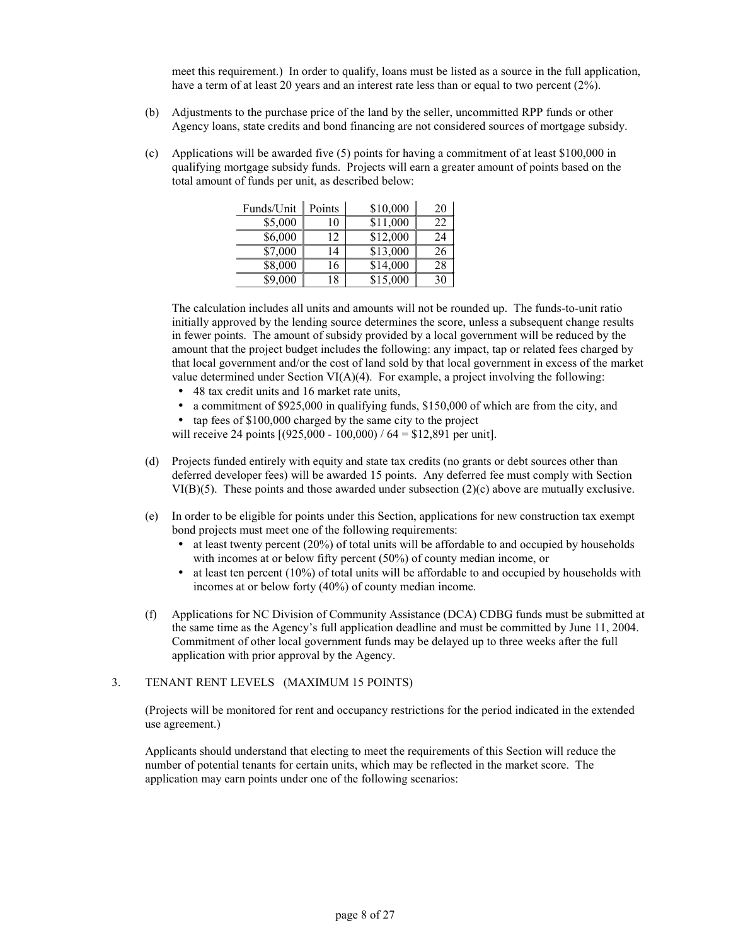meet this requirement.) In order to qualify, loans must be listed as a source in the full application, have a term of at least 20 years and an interest rate less than or equal to two percent (2%).

- (b) Adjustments to the purchase price of the land by the seller, uncommitted RPP funds or other Agency loans, state credits and bond financing are not considered sources of mortgage subsidy.
- (c) Applications will be awarded five (5) points for having a commitment of at least \$100,000 in qualifying mortgage subsidy funds. Projects will earn a greater amount of points based on the total amount of funds per unit, as described below:

| Funds/Unit | Points | \$10,000 | 20 |
|------------|--------|----------|----|
| \$5,000    | 10     | \$11,000 | 22 |
| \$6,000    | 12     | \$12,000 | 24 |
| \$7,000    | 14     | \$13,000 | 26 |
| \$8,000    | 16     | \$14,000 | 28 |
| \$9,000    | 18     | \$15,000 | 30 |

The calculation includes all units and amounts will not be rounded up. The funds-to-unit ratio initially approved by the lending source determines the score, unless a subsequent change results in fewer points. The amount of subsidy provided by a local government will be reduced by the amount that the project budget includes the following: any impact, tap or related fees charged by that local government and/or the cost of land sold by that local government in excess of the market value determined under Section  $VI(A)(4)$ . For example, a project involving the following:

- 48 tax credit units and 16 market rate units,
- a commitment of \$925,000 in qualifying funds, \$150,000 of which are from the city, and
- tap fees of \$100,000 charged by the same city to the project
- will receive 24 points  $[(925,000 100,000) / 64 = $12,891$  per unit].
- (d) Projects funded entirely with equity and state tax credits (no grants or debt sources other than deferred developer fees) will be awarded 15 points. Any deferred fee must comply with Section VI(B)(5). These points and those awarded under subsection (2)(c) above are mutually exclusive.
- (e) In order to be eligible for points under this Section, applications for new construction tax exempt bond projects must meet one of the following requirements:
	- $\bullet$  at least twenty percent (20%) of total units will be affordable to and occupied by households with incomes at or below fifty percent (50%) of county median income, or
	- $\bullet$  at least ten percent (10%) of total units will be affordable to and occupied by households with incomes at or below forty (40%) of county median income.
- (f) Applications for NC Division of Community Assistance (DCA) CDBG funds must be submitted at the same time as the Agency's full application deadline and must be committed by June 11, 2004. Commitment of other local government funds may be delayed up to three weeks after the full application with prior approval by the Agency.

#### 3. TENANT RENT LEVELS (MAXIMUM 15 POINTS)

(Projects will be monitored for rent and occupancy restrictions for the period indicated in the extended use agreement.)

Applicants should understand that electing to meet the requirements of this Section will reduce the number of potential tenants for certain units, which may be reflected in the market score. The application may earn points under one of the following scenarios: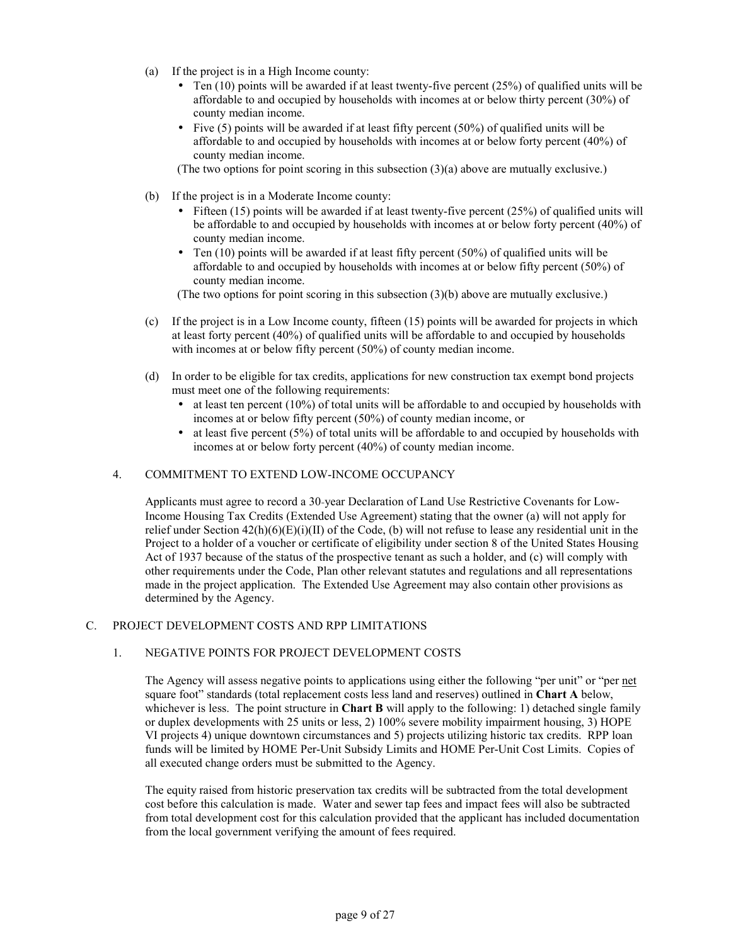- (a) If the project is in a High Income county:
	- Ten  $(10)$  points will be awarded if at least twenty-five percent  $(25%)$  of qualified units will be affordable to and occupied by households with incomes at or below thirty percent (30%) of county median income.
	- Five  $(5)$  points will be awarded if at least fifty percent  $(50\%)$  of qualified units will be affordable to and occupied by households with incomes at or below forty percent (40%) of county median income.

(The two options for point scoring in this subsection (3)(a) above are mutually exclusive.)

- (b) If the project is in a Moderate Income county:
	- Fifteen  $(15)$  points will be awarded if at least twenty-five percent  $(25%)$  of qualified units will be affordable to and occupied by households with incomes at or below forty percent (40%) of county median income.
	- Ten  $(10)$  points will be awarded if at least fifty percent  $(50%)$  of qualified units will be affordable to and occupied by households with incomes at or below fifty percent (50%) of county median income.

(The two options for point scoring in this subsection (3)(b) above are mutually exclusive.)

- (c) If the project is in a Low Income county, fifteen (15) points will be awarded for projects in which at least forty percent (40%) of qualified units will be affordable to and occupied by households with incomes at or below fifty percent (50%) of county median income.
- (d) In order to be eligible for tax credits, applications for new construction tax exempt bond projects must meet one of the following requirements:
	- $\bullet$  at least ten percent (10%) of total units will be affordable to and occupied by households with incomes at or below fifty percent (50%) of county median income, or
	- $\bullet$  at least five percent (5%) of total units will be affordable to and occupied by households with incomes at or below forty percent (40%) of county median income.

#### 4. COMMITMENT TO EXTEND LOW-INCOME OCCUPANCY

Applicants must agree to record a 30-year Declaration of Land Use Restrictive Covenants for Low-Income Housing Tax Credits (Extended Use Agreement) stating that the owner (a) will not apply for relief under Section  $42(h)(6)(E)(i)(II)$  of the Code, (b) will not refuse to lease any residential unit in the Project to a holder of a voucher or certificate of eligibility under section 8 of the United States Housing Act of 1937 because of the status of the prospective tenant as such a holder, and (c) will comply with other requirements under the Code, Plan other relevant statutes and regulations and all representations made in the project application. The Extended Use Agreement may also contain other provisions as determined by the Agency.

#### C. PROJECT DEVELOPMENT COSTS AND RPP LIMITATIONS

### 1. NEGATIVE POINTS FOR PROJECT DEVELOPMENT COSTS

The Agency will assess negative points to applications using either the following "per unit" or "per net square foot" standards (total replacement costs less land and reserves) outlined in **Chart A** below, whichever is less. The point structure in **Chart B** will apply to the following: 1) detached single family or duplex developments with 25 units or less, 2) 100% severe mobility impairment housing, 3) HOPE VI projects 4) unique downtown circumstances and 5) projects utilizing historic tax credits. RPP loan funds will be limited by HOME Per-Unit Subsidy Limits and HOME Per-Unit Cost Limits. Copies of all executed change orders must be submitted to the Agency.

The equity raised from historic preservation tax credits will be subtracted from the total development cost before this calculation is made. Water and sewer tap fees and impact fees will also be subtracted from total development cost for this calculation provided that the applicant has included documentation from the local government verifying the amount of fees required.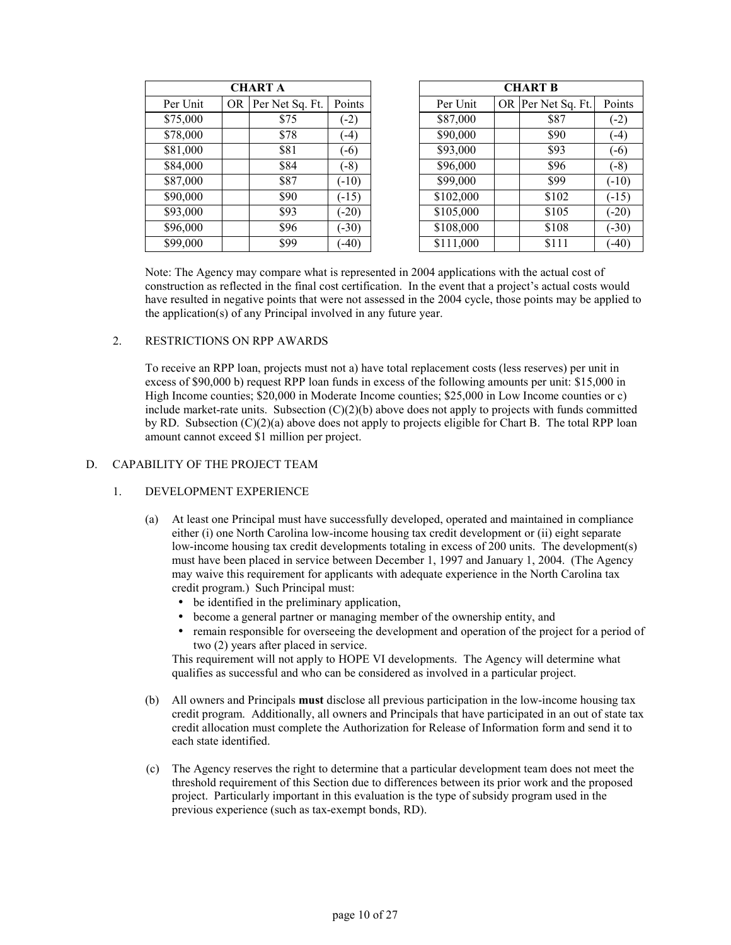| <b>CHART A</b> |    |                 |         |           | <b>CHART B</b>     |         |
|----------------|----|-----------------|---------|-----------|--------------------|---------|
| Per Unit       | OR | Per Net Sq. Ft. | Points  | Per Unit  | OR Per Net Sq. Ft. | Points  |
| \$75,000       |    | \$75            | $(-2)$  | \$87,000  | \$87               | $(-2)$  |
| \$78,000       |    | \$78            | $(-4)$  | \$90,000  | \$90               |         |
| \$81,000       |    | \$81            | $(-6)$  | \$93,000  | \$93               | $(-6)$  |
| \$84,000       |    | \$84            | $(-8)$  | \$96,000  | \$96               | $(-8)$  |
| \$87,000       |    | \$87            | $(-10)$ | \$99,000  | \$99               | $(-10)$ |
| \$90,000       |    | \$90            | $(-15)$ | \$102,000 | \$102              | $(-15)$ |
| \$93,000       |    | \$93            | $(-20)$ | \$105,000 | \$105              | $(-20)$ |
| \$96,000       |    | \$96            | $(-30)$ | \$108,000 | \$108              | $(-30)$ |
| \$99,000       |    | \$99            | $(-40)$ | \$111,000 | \$111              | $(-40)$ |

|          |           | <b>CHART A</b>  |         |           | <b>CHART B</b>     |         |
|----------|-----------|-----------------|---------|-----------|--------------------|---------|
| Per Unit | <b>OR</b> | Per Net Sq. Ft. | Points  | Per Unit  | OR Per Net Sq. Ft. | Points  |
| \$75,000 |           | \$75            | $(-2)$  | \$87,000  | \$87               | $(-2)$  |
| \$78,000 |           | \$78            | $(-4)$  | \$90,000  | \$90               | $(-4)$  |
| \$81,000 |           | \$81            | $(-6)$  | \$93,000  | \$93               | $(-6)$  |
| \$84,000 |           | \$84            | $(-8)$  | \$96,000  | \$96               | $(-8)$  |
| \$87,000 |           | \$87            | $(-10)$ | \$99,000  | \$99               | $(-10)$ |
| \$90,000 |           | \$90            | $(-15)$ | \$102,000 | \$102              | $(-15)$ |
| \$93,000 |           | \$93            | $(-20)$ | \$105,000 | \$105              | $(-20)$ |
| \$96,000 |           | \$96            | $(-30)$ | \$108,000 | \$108              | $(-30)$ |
| \$99,000 |           | \$99            | $-40)$  | \$111,000 | \$111              | $(-40)$ |

Note: The Agency may compare what is represented in 2004 applications with the actual cost of construction as reflected in the final cost certification. In the event that a project's actual costs would have resulted in negative points that were not assessed in the 2004 cycle, those points may be applied to the application(s) of any Principal involved in any future year.

### 2. RESTRICTIONS ON RPP AWARDS

To receive an RPP loan, projects must not a) have total replacement costs (less reserves) per unit in excess of \$90,000 b) request RPP loan funds in excess of the following amounts per unit: \$15,000 in High Income counties; \$20,000 in Moderate Income counties; \$25,000 in Low Income counties or c) include market-rate units. Subsection  $(C)(2)(b)$  above does not apply to projects with funds committed by RD. Subsection  $(C)(2)(a)$  above does not apply to projects eligible for Chart B. The total RPP loan amount cannot exceed \$1 million per project.

#### D. CAPABILITY OF THE PROJECT TEAM

### 1. DEVELOPMENT EXPERIENCE

- (a) At least one Principal must have successfully developed, operated and maintained in compliance either (i) one North Carolina low-income housing tax credit development or (ii) eight separate low-income housing tax credit developments totaling in excess of 200 units. The development(s) must have been placed in service between December 1, 1997 and January 1, 2004. (The Agency may waive this requirement for applicants with adequate experience in the North Carolina tax credit program.) Such Principal must:
	- be identified in the preliminary application,
	- become a general partner or managing member of the ownership entity, and
	- remain responsible for overseeing the development and operation of the project for a period of two (2) years after placed in service.

This requirement will not apply to HOPE VI developments. The Agency will determine what qualifies as successful and who can be considered as involved in a particular project.

- (b) All owners and Principals **must** disclose all previous participation in the low-income housing tax credit program. Additionally, all owners and Principals that have participated in an out of state tax credit allocation must complete the Authorization for Release of Information form and send it to each state identified.
- (c) The Agency reserves the right to determine that a particular development team does not meet the threshold requirement of this Section due to differences between its prior work and the proposed project. Particularly important in this evaluation is the type of subsidy program used in the previous experience (such as tax-exempt bonds, RD).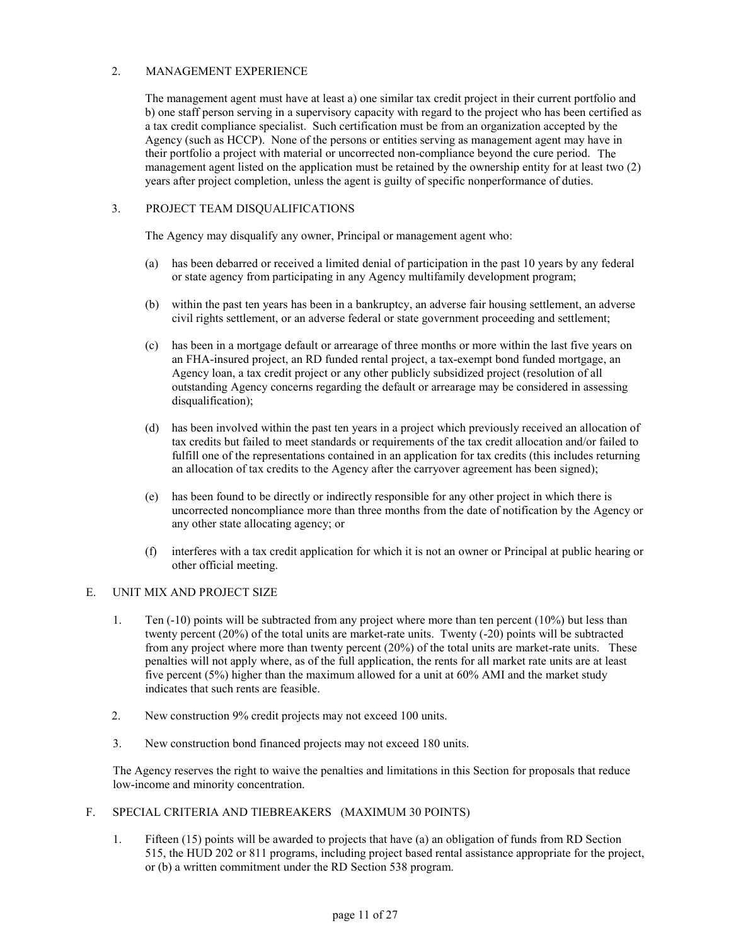# 2. MANAGEMENT EXPERIENCE

The management agent must have at least a) one similar tax credit project in their current portfolio and b) one staff person serving in a supervisory capacity with regard to the project who has been certified as a tax credit compliance specialist. Such certification must be from an organization accepted by the Agency (such as HCCP). None of the persons or entities serving as management agent may have in their portfolio a project with material or uncorrected non-compliance beyond the cure period. The management agent listed on the application must be retained by the ownership entity for at least two (2) years after project completion, unless the agent is guilty of specific nonperformance of duties.

# 3. PROJECT TEAM DISQUALIFICATIONS

The Agency may disqualify any owner, Principal or management agent who:

- (a) has been debarred or received a limited denial of participation in the past 10 years by any federal or state agency from participating in any Agency multifamily development program;
- (b) within the past ten years has been in a bankruptcy, an adverse fair housing settlement, an adverse civil rights settlement, or an adverse federal or state government proceeding and settlement;
- (c) has been in a mortgage default or arrearage of three months or more within the last five years on an FHA-insured project, an RD funded rental project, a tax-exempt bond funded mortgage, an Agency loan, a tax credit project or any other publicly subsidized project (resolution of all outstanding Agency concerns regarding the default or arrearage may be considered in assessing disqualification);
- (d) has been involved within the past ten years in a project which previously received an allocation of tax credits but failed to meet standards or requirements of the tax credit allocation and/or failed to fulfill one of the representations contained in an application for tax credits (this includes returning an allocation of tax credits to the Agency after the carryover agreement has been signed);
- (e) has been found to be directly or indirectly responsible for any other project in which there is uncorrected noncompliance more than three months from the date of notification by the Agency or any other state allocating agency; or
- (f) interferes with a tax credit application for which it is not an owner or Principal at public hearing or other official meeting.

### E. UNIT MIX AND PROJECT SIZE

- 1. Ten (-10) points will be subtracted from any project where more than ten percent (10%) but less than twenty percent (20%) of the total units are market-rate units. Twenty (-20) points will be subtracted from any project where more than twenty percent (20%) of the total units are market-rate units. These penalties will not apply where, as of the full application, the rents for all market rate units are at least five percent (5%) higher than the maximum allowed for a unit at 60% AMI and the market study indicates that such rents are feasible.
- 2. New construction 9% credit projects may not exceed 100 units.
- 3. New construction bond financed projects may not exceed 180 units.

The Agency reserves the right to waive the penalties and limitations in this Section for proposals that reduce low-income and minority concentration.

# F. SPECIAL CRITERIA AND TIEBREAKERS (MAXIMUM 30 POINTS)

1. Fifteen (15) points will be awarded to projects that have (a) an obligation of funds from RD Section 515, the HUD 202 or 811 programs, including project based rental assistance appropriate for the project, or (b) a written commitment under the RD Section 538 program.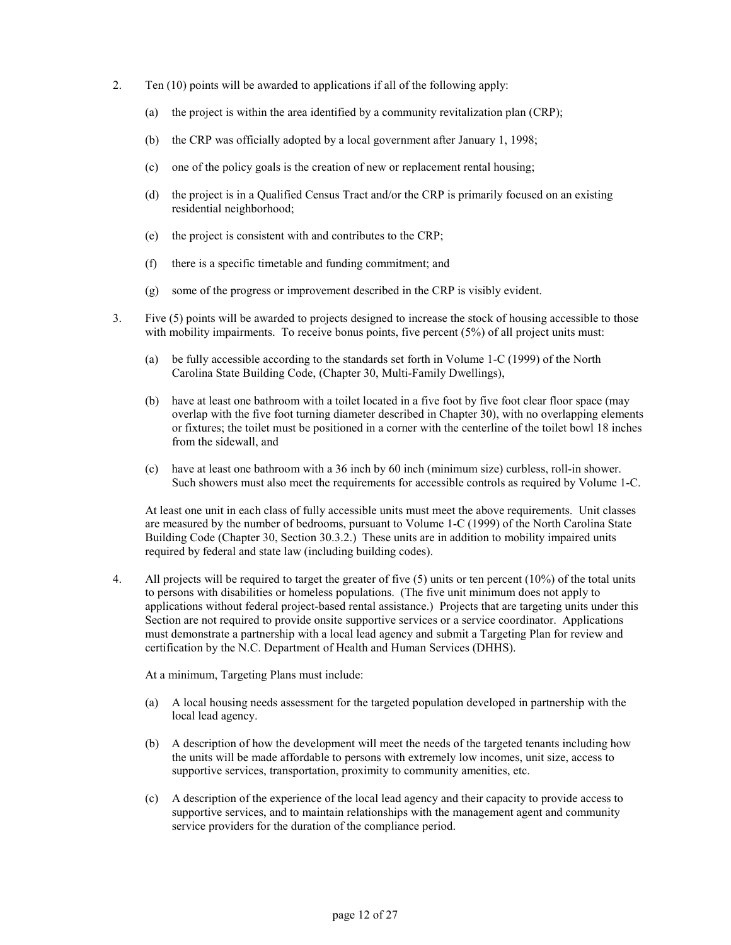- 2. Ten (10) points will be awarded to applications if all of the following apply:
	- (a) the project is within the area identified by a community revitalization plan (CRP);
	- (b) the CRP was officially adopted by a local government after January 1, 1998;
	- (c) one of the policy goals is the creation of new or replacement rental housing;
	- (d) the project is in a Qualified Census Tract and/or the CRP is primarily focused on an existing residential neighborhood;
	- (e) the project is consistent with and contributes to the CRP;
	- (f) there is a specific timetable and funding commitment; and
	- (g) some of the progress or improvement described in the CRP is visibly evident.
- 3. Five (5) points will be awarded to projects designed to increase the stock of housing accessible to those with mobility impairments. To receive bonus points, five percent  $(5%)$  of all project units must:
	- (a) be fully accessible according to the standards set forth in Volume 1-C (1999) of the North Carolina State Building Code, (Chapter 30, Multi-Family Dwellings),
	- (b) have at least one bathroom with a toilet located in a five foot by five foot clear floor space (may overlap with the five foot turning diameter described in Chapter 30), with no overlapping elements or fixtures; the toilet must be positioned in a corner with the centerline of the toilet bowl 18 inches from the sidewall, and
	- (c) have at least one bathroom with a 36 inch by 60 inch (minimum size) curbless, roll-in shower. Such showers must also meet the requirements for accessible controls as required by Volume 1-C.

At least one unit in each class of fully accessible units must meet the above requirements. Unit classes are measured by the number of bedrooms, pursuant to Volume 1-C (1999) of the North Carolina State Building Code (Chapter 30, Section 30.3.2.) These units are in addition to mobility impaired units required by federal and state law (including building codes).

4. All projects will be required to target the greater of five (5) units or ten percent (10%) of the total units to persons with disabilities or homeless populations. (The five unit minimum does not apply to applications without federal project-based rental assistance.) Projects that are targeting units under this Section are not required to provide onsite supportive services or a service coordinator. Applications must demonstrate a partnership with a local lead agency and submit a Targeting Plan for review and certification by the N.C. Department of Health and Human Services (DHHS).

At a minimum, Targeting Plans must include:

- (a) A local housing needs assessment for the targeted population developed in partnership with the local lead agency.
- (b) A description of how the development will meet the needs of the targeted tenants including how the units will be made affordable to persons with extremely low incomes, unit size, access to supportive services, transportation, proximity to community amenities, etc.
- (c) A description of the experience of the local lead agency and their capacity to provide access to supportive services, and to maintain relationships with the management agent and community service providers for the duration of the compliance period.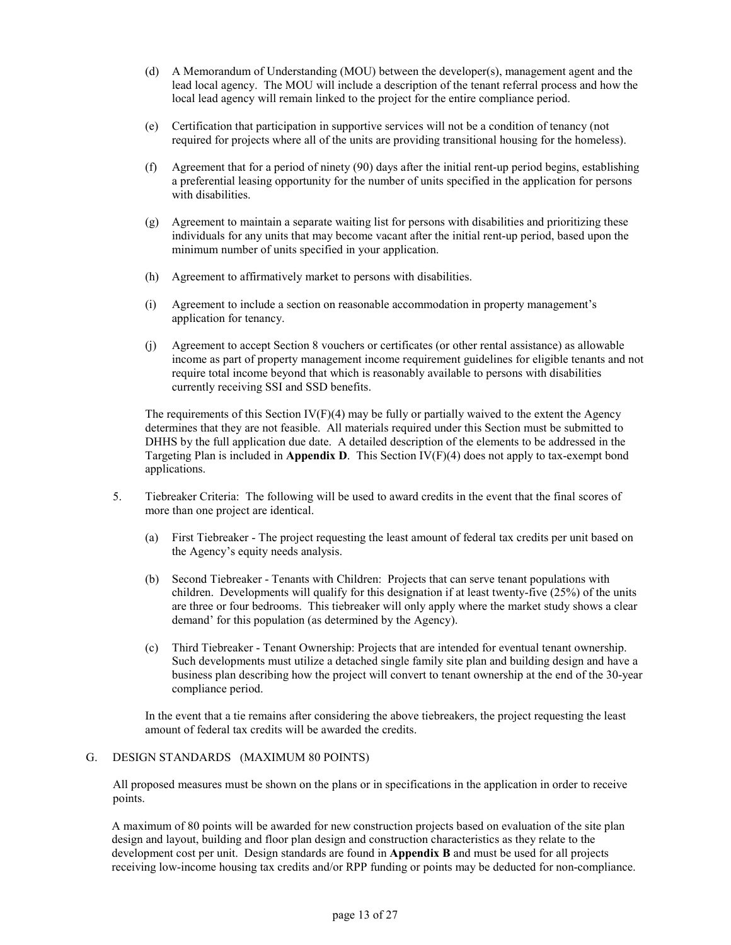- (d) A Memorandum of Understanding (MOU) between the developer(s), management agent and the lead local agency. The MOU will include a description of the tenant referral process and how the local lead agency will remain linked to the project for the entire compliance period.
- (e) Certification that participation in supportive services will not be a condition of tenancy (not required for projects where all of the units are providing transitional housing for the homeless).
- (f) Agreement that for a period of ninety (90) days after the initial rent-up period begins, establishing a preferential leasing opportunity for the number of units specified in the application for persons with disabilities.
- (g) Agreement to maintain a separate waiting list for persons with disabilities and prioritizing these individuals for any units that may become vacant after the initial rent-up period, based upon the minimum number of units specified in your application.
- (h) Agreement to affirmatively market to persons with disabilities.
- (i) Agreement to include a section on reasonable accommodation in property management's application for tenancy.
- (j) Agreement to accept Section 8 vouchers or certificates (or other rental assistance) as allowable income as part of property management income requirement guidelines for eligible tenants and not require total income beyond that which is reasonably available to persons with disabilities currently receiving SSI and SSD benefits.

The requirements of this Section  $IV(F)(4)$  may be fully or partially waived to the extent the Agency determines that they are not feasible. All materials required under this Section must be submitted to DHHS by the full application due date. A detailed description of the elements to be addressed in the Targeting Plan is included in **Appendix D**. This Section IV(F)(4) does not apply to tax-exempt bond applications.

- 5. Tiebreaker Criteria: The following will be used to award credits in the event that the final scores of more than one project are identical.
	- (a) First Tiebreaker The project requesting the least amount of federal tax credits per unit based on the Agency's equity needs analysis.
	- (b) Second Tiebreaker Tenants with Children: Projects that can serve tenant populations with children. Developments will qualify for this designation if at least twenty-five (25%) of the units are three or four bedrooms. This tiebreaker will only apply where the market study shows a clear demand' for this population (as determined by the Agency).
	- (c) Third Tiebreaker Tenant Ownership: Projects that are intended for eventual tenant ownership. Such developments must utilize a detached single family site plan and building design and have a business plan describing how the project will convert to tenant ownership at the end of the 30-year compliance period.

In the event that a tie remains after considering the above tiebreakers, the project requesting the least amount of federal tax credits will be awarded the credits.

### G. DESIGN STANDARDS (MAXIMUM 80 POINTS)

All proposed measures must be shown on the plans or in specifications in the application in order to receive points.

A maximum of 80 points will be awarded for new construction projects based on evaluation of the site plan design and layout, building and floor plan design and construction characteristics as they relate to the development cost per unit. Design standards are found in **Appendix B** and must be used for all projects receiving low-income housing tax credits and/or RPP funding or points may be deducted for non-compliance.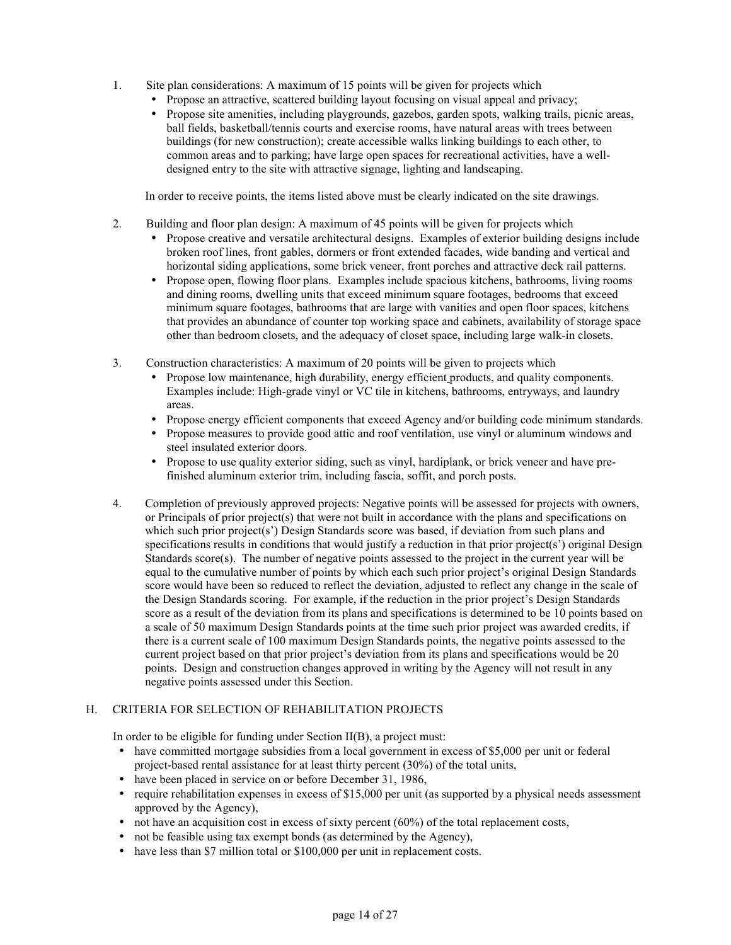- 1. Site plan considerations: A maximum of 15 points will be given for projects which
	- Propose an attractive, scattered building layout focusing on visual appeal and privacy;
	- Propose site amenities, including playgrounds, gazebos, garden spots, walking trails, picnic areas, ball fields, basketball/tennis courts and exercise rooms, have natural areas with trees between buildings (for new construction); create accessible walks linking buildings to each other, to common areas and to parking; have large open spaces for recreational activities, have a welldesigned entry to the site with attractive signage, lighting and landscaping.

In order to receive points, the items listed above must be clearly indicated on the site drawings.

- 2. Building and floor plan design: A maximum of 45 points will be given for projects which
	- Propose creative and versatile architectural designs. Examples of exterior building designs include broken roof lines, front gables, dormers or front extended facades, wide banding and vertical and horizontal siding applications, some brick veneer, front porches and attractive deck rail patterns.
	- Propose open, flowing floor plans. Examples include spacious kitchens, bathrooms, living rooms and dining rooms, dwelling units that exceed minimum square footages, bedrooms that exceed minimum square footages, bathrooms that are large with vanities and open floor spaces, kitchens that provides an abundance of counter top working space and cabinets, availability of storage space other than bedroom closets, and the adequacy of closet space, including large walk-in closets.
- 3. Construction characteristics: A maximum of 20 points will be given to projects which
	- Propose low maintenance, high durability, energy efficient products, and quality components. Examples include: High-grade vinyl or VC tile in kitchens, bathrooms, entryways, and laundry areas.
	- Propose energy efficient components that exceed Agency and/or building code minimum standards.
	- Propose measures to provide good attic and roof ventilation, use vinyl or aluminum windows and steel insulated exterior doors.
	- Propose to use quality exterior siding, such as vinyl, hardiplank, or brick veneer and have prefinished aluminum exterior trim, including fascia, soffit, and porch posts.
- 4. Completion of previously approved projects: Negative points will be assessed for projects with owners, or Principals of prior project(s) that were not built in accordance with the plans and specifications on which such prior project(s') Design Standards score was based, if deviation from such plans and specifications results in conditions that would justify a reduction in that prior project(s') original Design Standards score $(s)$ . The number of negative points assessed to the project in the current year will be equal to the cumulative number of points by which each such prior project's original Design Standards score would have been so reduced to reflect the deviation, adjusted to reflect any change in the scale of the Design Standards scoring. For example, if the reduction in the prior project's Design Standards score as a result of the deviation from its plans and specifications is determined to be 10 points based on a scale of 50 maximum Design Standards points at the time such prior project was awarded credits, if there is a current scale of 100 maximum Design Standards points, the negative points assessed to the current project based on that prior project's deviation from its plans and specifications would be 20 points. Design and construction changes approved in writing by the Agency will not result in any negative points assessed under this Section.

### H. CRITERIA FOR SELECTION OF REHABILITATION PROJECTS

In order to be eligible for funding under Section II(B), a project must:

- have committed mortgage subsidies from a local government in excess of \$5,000 per unit or federal project-based rental assistance for at least thirty percent (30%) of the total units,
- have been placed in service on or before December 31, 1986,
- require rehabilitation expenses in excess of  $$15,000$  per unit (as supported by a physical needs assessment approved by the Agency),
- $\bullet$  not have an acquisition cost in excess of sixty percent (60%) of the total replacement costs,
- not be feasible using tax exempt bonds (as determined by the Agency),
- have less than \$7 million total or \$100,000 per unit in replacement costs.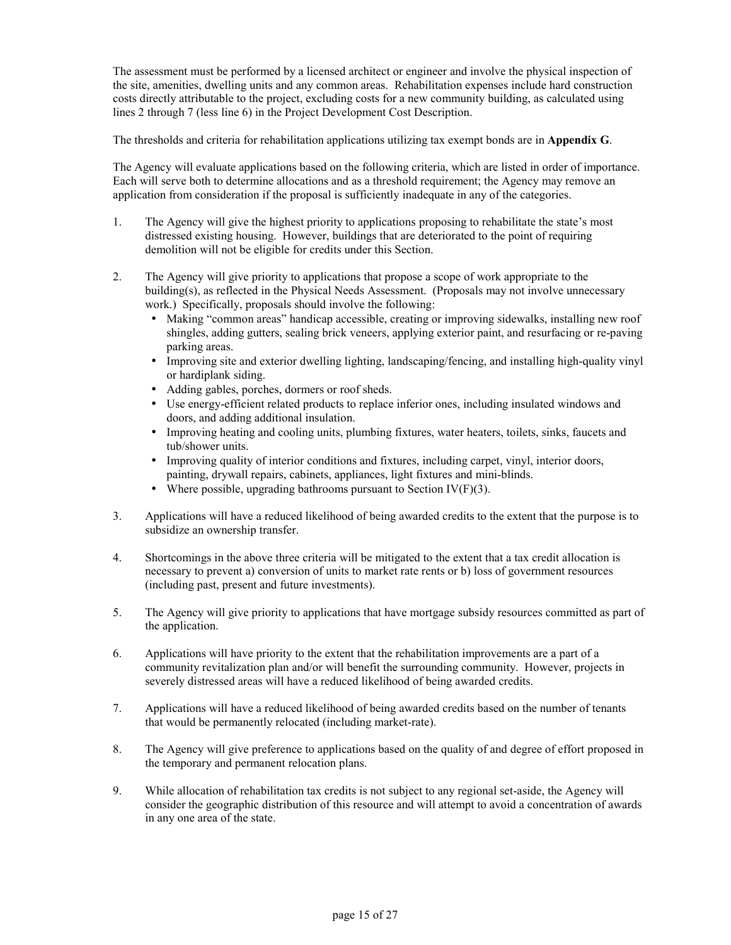The assessment must be performed by a licensed architect or engineer and involve the physical inspection of the site, amenities, dwelling units and any common areas. Rehabilitation expenses include hard construction costs directly attributable to the project, excluding costs for a new community building, as calculated using lines 2 through 7 (less line 6) in the Project Development Cost Description.

The thresholds and criteria for rehabilitation applications utilizing tax exempt bonds are in **Appendix G**.

The Agency will evaluate applications based on the following criteria, which are listed in order of importance. Each will serve both to determine allocations and as a threshold requirement; the Agency may remove an application from consideration if the proposal is sufficiently inadequate in any of the categories.

- 1. The Agency will give the highest priority to applications proposing to rehabilitate the state's most distressed existing housing. However, buildings that are deteriorated to the point of requiring demolition will not be eligible for credits under this Section.
- 2. The Agency will give priority to applications that propose a scope of work appropriate to the building(s), as reflected in the Physical Needs Assessment. (Proposals may not involve unnecessary work.) Specifically, proposals should involve the following:
	- Making "common areas" handicap accessible, creating or improving sidewalks, installing new roof shingles, adding gutters, sealing brick veneers, applying exterior paint, and resurfacing or re-paving parking areas.
	- Improving site and exterior dwelling lighting, landscaping/fencing, and installing high-quality vinyl or hardiplank siding.
	- Adding gables, porches, dormers or roof sheds.
	- Use energy-efficient related products to replace inferior ones, including insulated windows and doors, and adding additional insulation.
	- Improving heating and cooling units, plumbing fixtures, water heaters, toilets, sinks, faucets and tub/shower units.
	- Improving quality of interior conditions and fixtures, including carpet, vinyl, interior doors, painting, drywall repairs, cabinets, appliances, light fixtures and mini-blinds.
	- Where possible, upgrading bathrooms pursuant to Section IV(F)(3).
- 3. Applications will have a reduced likelihood of being awarded credits to the extent that the purpose is to subsidize an ownership transfer.
- 4. Shortcomings in the above three criteria will be mitigated to the extent that a tax credit allocation is necessary to prevent a) conversion of units to market rate rents or b) loss of government resources (including past, present and future investments).
- 5. The Agency will give priority to applications that have mortgage subsidy resources committed as part of the application.
- 6. Applications will have priority to the extent that the rehabilitation improvements are a part of a community revitalization plan and/or will benefit the surrounding community. However, projects in severely distressed areas will have a reduced likelihood of being awarded credits.
- 7. Applications will have a reduced likelihood of being awarded credits based on the number of tenants that would be permanently relocated (including market-rate).
- 8. The Agency will give preference to applications based on the quality of and degree of effort proposed in the temporary and permanent relocation plans.
- 9. While allocation of rehabilitation tax credits is not subject to any regional set-aside, the Agency will consider the geographic distribution of this resource and will attempt to avoid a concentration of awards in any one area of the state.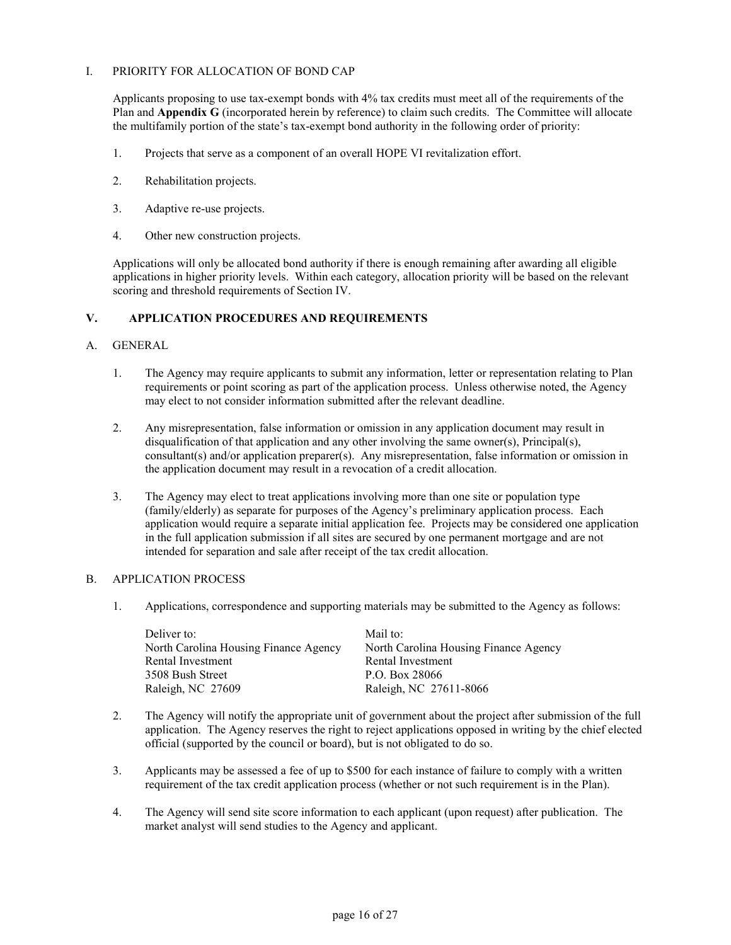### I. PRIORITY FOR ALLOCATION OF BOND CAP

Applicants proposing to use tax-exempt bonds with 4% tax credits must meet all of the requirements of the Plan and **Appendix G** (incorporated herein by reference) to claim such credits. The Committee will allocate the multifamily portion of the state's tax-exempt bond authority in the following order of priority:

- 1. Projects that serve as a component of an overall HOPE VI revitalization effort.
- 2. Rehabilitation projects.
- 3. Adaptive re-use projects.
- 4. Other new construction projects.

Applications will only be allocated bond authority if there is enough remaining after awarding all eligible applications in higher priority levels. Within each category, allocation priority will be based on the relevant scoring and threshold requirements of Section IV.

### **V. APPLICATION PROCEDURES AND REQUIREMENTS**

#### A. GENERAL

- 1. The Agency may require applicants to submit any information, letter or representation relating to Plan requirements or point scoring as part of the application process. Unless otherwise noted, the Agency may elect to not consider information submitted after the relevant deadline.
- 2. Any misrepresentation, false information or omission in any application document may result in disqualification of that application and any other involving the same owner(s), Principal(s), consultant(s) and/or application preparer(s). Any misrepresentation, false information or omission in the application document may result in a revocation of a credit allocation.
- 3. The Agency may elect to treat applications involving more than one site or population type (family/elderly) as separate for purposes of the Agency's preliminary application process. Each application would require a separate initial application fee. Projects may be considered one application in the full application submission if all sites are secured by one permanent mortgage and are not intended for separation and sale after receipt of the tax credit allocation.

#### B. APPLICATION PROCESS

1. Applications, correspondence and supporting materials may be submitted to the Agency as follows:

| Deliver to:                           | Mail to:                              |
|---------------------------------------|---------------------------------------|
| North Carolina Housing Finance Agency | North Carolina Housing Finance Agency |
| Rental Investment                     | Rental Investment                     |
| 3508 Bush Street                      | P.O. Box 28066                        |
| Raleigh, NC 27609                     | Raleigh, NC 27611-8066                |

- 2. The Agency will notify the appropriate unit of government about the project after submission of the full application. The Agency reserves the right to reject applications opposed in writing by the chief elected official (supported by the council or board), but is not obligated to do so.
- 3. Applicants may be assessed a fee of up to \$500 for each instance of failure to comply with a written requirement of the tax credit application process (whether or not such requirement is in the Plan).
- 4. The Agency will send site score information to each applicant (upon request) after publication. The market analyst will send studies to the Agency and applicant.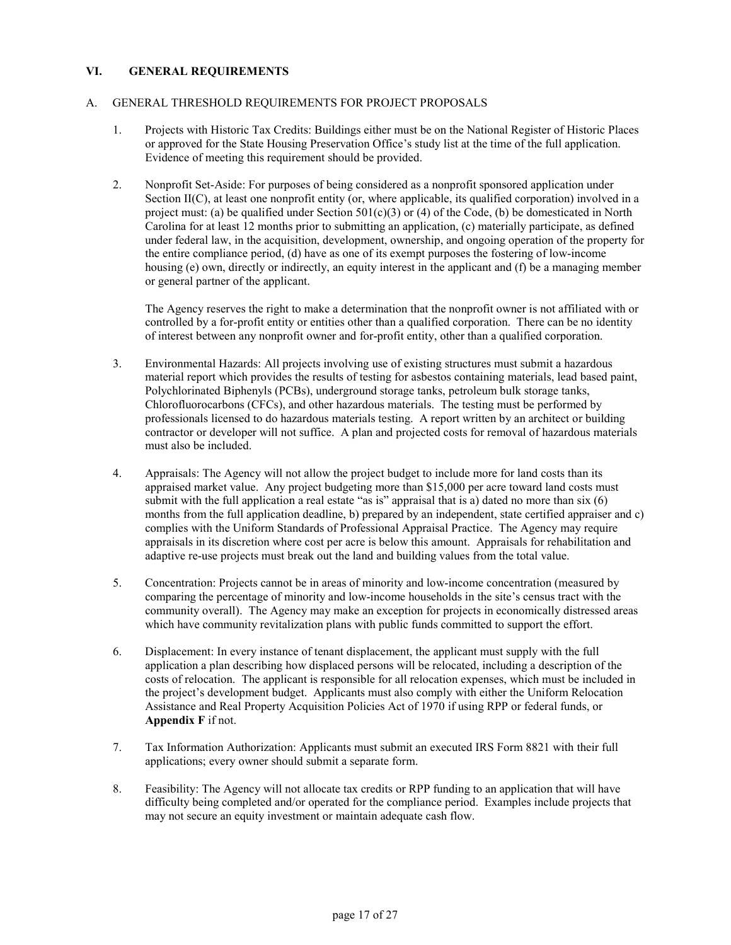# **VI. GENERAL REQUIREMENTS**

### A. GENERAL THRESHOLD REQUIREMENTS FOR PROJECT PROPOSALS

- 1. Projects with Historic Tax Credits: Buildings either must be on the National Register of Historic Places or approved for the State Housing Preservation Office's study list at the time of the full application. Evidence of meeting this requirement should be provided.
- 2. Nonprofit Set-Aside: For purposes of being considered as a nonprofit sponsored application under Section II(C), at least one nonprofit entity (or, where applicable, its qualified corporation) involved in a project must: (a) be qualified under Section  $501(c)(3)$  or (4) of the Code, (b) be domesticated in North Carolina for at least 12 months prior to submitting an application, (c) materially participate, as defined under federal law, in the acquisition, development, ownership, and ongoing operation of the property for the entire compliance period, (d) have as one of its exempt purposes the fostering of low-income housing (e) own, directly or indirectly, an equity interest in the applicant and (f) be a managing member or general partner of the applicant.

The Agency reserves the right to make a determination that the nonprofit owner is not affiliated with or controlled by a for-profit entity or entities other than a qualified corporation. There can be no identity of interest between any nonprofit owner and for-profit entity, other than a qualified corporation.

- 3. Environmental Hazards: All projects involving use of existing structures must submit a hazardous material report which provides the results of testing for asbestos containing materials, lead based paint, Polychlorinated Biphenyls (PCBs), underground storage tanks, petroleum bulk storage tanks, Chlorofluorocarbons (CFCs), and other hazardous materials. The testing must be performed by professionals licensed to do hazardous materials testing. A report written by an architect or building contractor or developer will not suffice. A plan and projected costs for removal of hazardous materials must also be included.
- 4. Appraisals: The Agency will not allow the project budget to include more for land costs than its appraised market value. Any project budgeting more than \$15,000 per acre toward land costs must submit with the full application a real estate "as is" appraisal that is a) dated no more than  $\sin(6)$ months from the full application deadline, b) prepared by an independent, state certified appraiser and c) complies with the Uniform Standards of Professional Appraisal Practice. The Agency may require appraisals in its discretion where cost per acre is below this amount. Appraisals for rehabilitation and adaptive re-use projects must break out the land and building values from the total value.
- 5. Concentration: Projects cannot be in areas of minority and low-income concentration (measured by comparing the percentage of minority and low-income households in the site's census tract with the community overall). The Agency may make an exception for projects in economically distressed areas which have community revitalization plans with public funds committed to support the effort.
- 6. Displacement: In every instance of tenant displacement, the applicant must supply with the full application a plan describing how displaced persons will be relocated, including a description of the costs of relocation. The applicant is responsible for all relocation expenses, which must be included in the project's development budget. Applicants must also comply with either the Uniform Relocation Assistance and Real Property Acquisition Policies Act of 1970 if using RPP or federal funds, or **Appendix F** if not.
- 7. Tax Information Authorization: Applicants must submit an executed IRS Form 8821 with their full applications; every owner should submit a separate form.
- 8. Feasibility: The Agency will not allocate tax credits or RPP funding to an application that will have difficulty being completed and/or operated for the compliance period. Examples include projects that may not secure an equity investment or maintain adequate cash flow.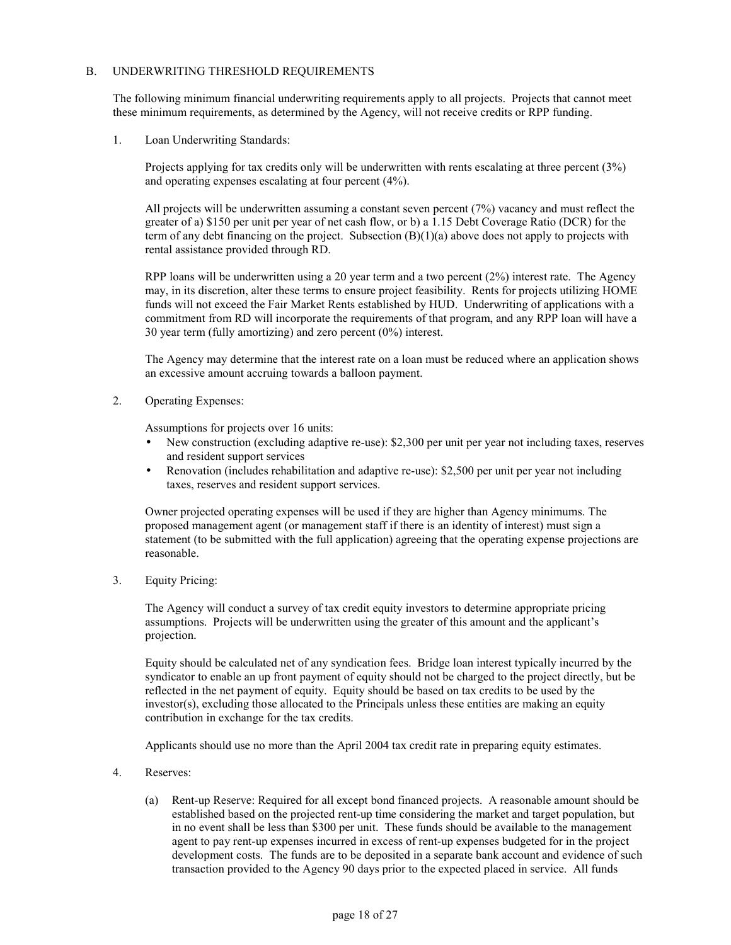### B. UNDERWRITING THRESHOLD REQUIREMENTS

The following minimum financial underwriting requirements apply to all projects. Projects that cannot meet these minimum requirements, as determined by the Agency, will not receive credits or RPP funding.

1. Loan Underwriting Standards:

Projects applying for tax credits only will be underwritten with rents escalating at three percent (3%) and operating expenses escalating at four percent (4%).

 All projects will be underwritten assuming a constant seven percent (7%) vacancy and must reflect the greater of a) \$150 per unit per year of net cash flow, or b) a 1.15 Debt Coverage Ratio (DCR) for the term of any debt financing on the project. Subsection  $(B)(1)(a)$  above does not apply to projects with rental assistance provided through RD.

 RPP loans will be underwritten using a 20 year term and a two percent (2%) interest rate. The Agency may, in its discretion, alter these terms to ensure project feasibility. Rents for projects utilizing HOME funds will not exceed the Fair Market Rents established by HUD. Underwriting of applications with a commitment from RD will incorporate the requirements of that program, and any RPP loan will have a 30 year term (fully amortizing) and zero percent (0%) interest.

The Agency may determine that the interest rate on a loan must be reduced where an application shows an excessive amount accruing towards a balloon payment.

2. Operating Expenses:

Assumptions for projects over 16 units:

- New construction (excluding adaptive re-use): \$2,300 per unit per year not including taxes, reserves and resident support services
- Renovation (includes rehabilitation and adaptive re-use): \$2,500 per unit per year not including taxes, reserves and resident support services.

Owner projected operating expenses will be used if they are higher than Agency minimums. The proposed management agent (or management staff if there is an identity of interest) must sign a statement (to be submitted with the full application) agreeing that the operating expense projections are reasonable.

3. Equity Pricing:

 The Agency will conduct a survey of tax credit equity investors to determine appropriate pricing assumptions. Projects will be underwritten using the greater of this amount and the applicant's projection.

 Equity should be calculated net of any syndication fees. Bridge loan interest typically incurred by the syndicator to enable an up front payment of equity should not be charged to the project directly, but be reflected in the net payment of equity. Equity should be based on tax credits to be used by the  $investor(s)$ , excluding those allocated to the Principals unless these entities are making an equity contribution in exchange for the tax credits.

Applicants should use no more than the April 2004 tax credit rate in preparing equity estimates.

- 4. Reserves:
	- (a) Rent-up Reserve: Required for all except bond financed projects. A reasonable amount should be established based on the projected rent-up time considering the market and target population, but in no event shall be less than \$300 per unit. These funds should be available to the management agent to pay rent-up expenses incurred in excess of rent-up expenses budgeted for in the project development costs. The funds are to be deposited in a separate bank account and evidence of such transaction provided to the Agency 90 days prior to the expected placed in service. All funds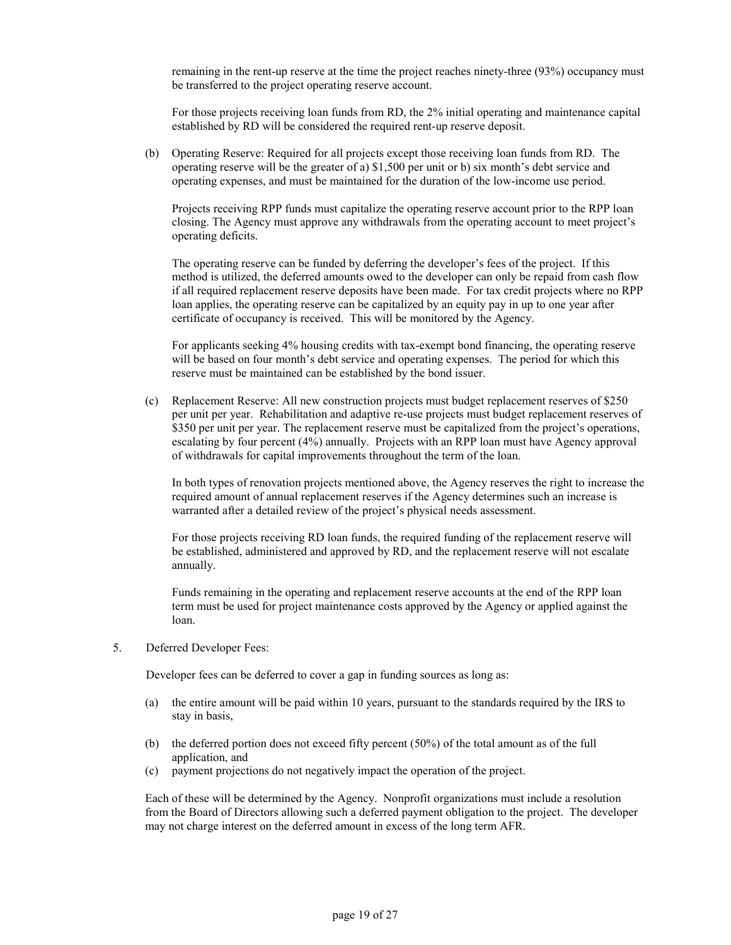remaining in the rent-up reserve at the time the project reaches ninety-three (93%) occupancy must be transferred to the project operating reserve account.

For those projects receiving loan funds from RD, the 2% initial operating and maintenance capital established by RD will be considered the required rent-up reserve deposit.

(b) Operating Reserve: Required for all projects except those receiving loan funds from RD. The operating reserve will be the greater of a) \$1,500 per unit or b) six month's debt service and operating expenses, and must be maintained for the duration of the low-income use period.

Projects receiving RPP funds must capitalize the operating reserve account prior to the RPP loan closing. The Agency must approve any withdrawals from the operating account to meet project's operating deficits.

The operating reserve can be funded by deferring the developer's fees of the project. If this method is utilized, the deferred amounts owed to the developer can only be repaid from cash flow if all required replacement reserve deposits have been made. For tax credit projects where no RPP loan applies, the operating reserve can be capitalized by an equity pay in up to one year after certificate of occupancy is received. This will be monitored by the Agency.

For applicants seeking 4% housing credits with tax-exempt bond financing, the operating reserve will be based on four month's debt service and operating expenses. The period for which this reserve must be maintained can be established by the bond issuer.

(c) Replacement Reserve: All new construction projects must budget replacement reserves of \$250 per unit per year. Rehabilitation and adaptive re-use projects must budget replacement reserves of \$350 per unit per year. The replacement reserve must be capitalized from the project's operations, escalating by four percent (4%) annually. Projects with an RPP loan must have Agency approval of withdrawals for capital improvements throughout the term of the loan.

 In both types of renovation projects mentioned above, the Agency reserves the right to increase the required amount of annual replacement reserves if the Agency determines such an increase is warranted after a detailed review of the project's physical needs assessment.

 For those projects receiving RD loan funds, the required funding of the replacement reserve will be established, administered and approved by RD, and the replacement reserve will not escalate annually.

 Funds remaining in the operating and replacement reserve accounts at the end of the RPP loan term must be used for project maintenance costs approved by the Agency or applied against the loan.

5. Deferred Developer Fees:

Developer fees can be deferred to cover a gap in funding sources as long as:

- (a) the entire amount will be paid within 10 years, pursuant to the standards required by the IRS to stay in basis,
- (b) the deferred portion does not exceed fifty percent (50%) of the total amount as of the full application, and
- (c) payment projections do not negatively impact the operation of the project.

Each of these will be determined by the Agency. Nonprofit organizations must include a resolution from the Board of Directors allowing such a deferred payment obligation to the project. The developer may not charge interest on the deferred amount in excess of the long term AFR.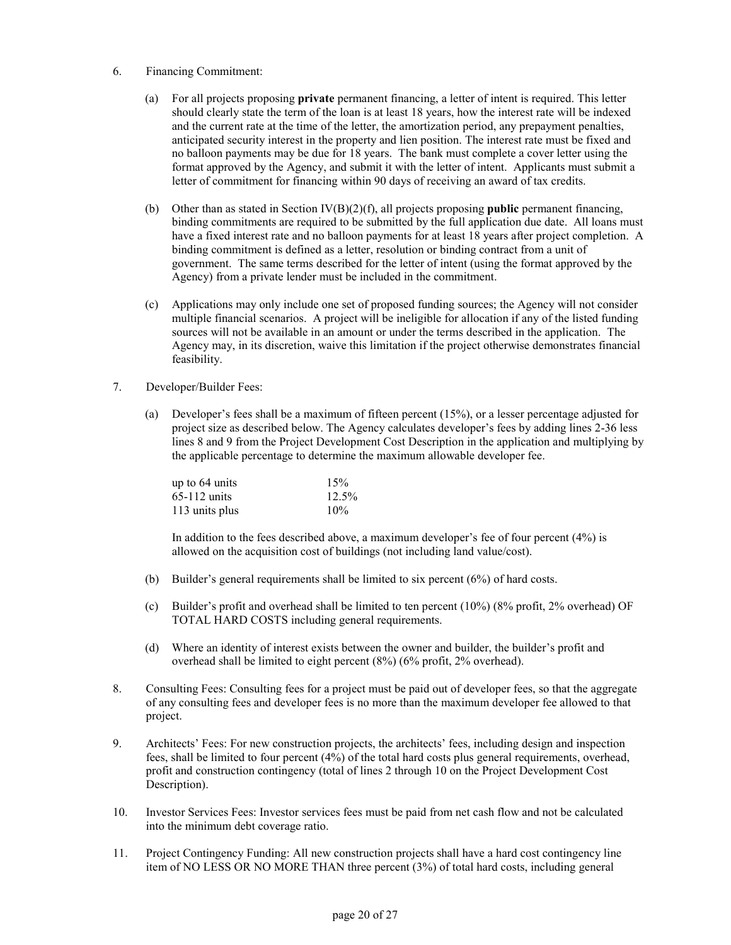- 6. Financing Commitment:
	- (a) For all projects proposing **private** permanent financing, a letter of intent is required. This letter should clearly state the term of the loan is at least 18 years, how the interest rate will be indexed and the current rate at the time of the letter, the amortization period, any prepayment penalties, anticipated security interest in the property and lien position. The interest rate must be fixed and no balloon payments may be due for 18 years. The bank must complete a cover letter using the format approved by the Agency, and submit it with the letter of intent. Applicants must submit a letter of commitment for financing within 90 days of receiving an award of tax credits.
	- (b) Other than as stated in Section IV(B)(2)(f), all projects proposing **public** permanent financing, binding commitments are required to be submitted by the full application due date. All loans must have a fixed interest rate and no balloon payments for at least 18 years after project completion. A binding commitment is defined as a letter, resolution or binding contract from a unit of government. The same terms described for the letter of intent (using the format approved by the Agency) from a private lender must be included in the commitment.
	- (c) Applications may only include one set of proposed funding sources; the Agency will not consider multiple financial scenarios. A project will be ineligible for allocation if any of the listed funding sources will not be available in an amount or under the terms described in the application. The Agency may, in its discretion, waive this limitation if the project otherwise demonstrates financial feasibility.
- 7. Developer/Builder Fees:
	- (a) Developer's fees shall be a maximum of fifteen percent (15%), or a lesser percentage adjusted for project size as described below. The Agency calculates developer's fees by adding lines 2-36 less lines 8 and 9 from the Project Development Cost Description in the application and multiplying by the applicable percentage to determine the maximum allowable developer fee.

| up to 64 units | 15%   |
|----------------|-------|
| $65-112$ units | 12.5% |
| 113 units plus | 10%   |

 In addition to the fees described above, a maximum developer's fee of four percent (4%) is allowed on the acquisition cost of buildings (not including land value/cost).

- (b) Builder's general requirements shall be limited to six percent (6%) of hard costs.
- (c) Builder's profit and overhead shall be limited to ten percent (10%) (8% profit, 2% overhead) OF TOTAL HARD COSTS including general requirements.
- (d) Where an identity of interest exists between the owner and builder, the builder's profit and overhead shall be limited to eight percent (8%) (6% profit, 2% overhead).
- 8. Consulting Fees: Consulting fees for a project must be paid out of developer fees, so that the aggregate of any consulting fees and developer fees is no more than the maximum developer fee allowed to that project.
- 9. Architects' Fees: For new construction projects, the architects' fees, including design and inspection fees, shall be limited to four percent (4%) of the total hard costs plus general requirements, overhead, profit and construction contingency (total of lines 2 through 10 on the Project Development Cost Description).
- 10. Investor Services Fees: Investor services fees must be paid from net cash flow and not be calculated into the minimum debt coverage ratio.
- 11. Project Contingency Funding: All new construction projects shall have a hard cost contingency line item of NO LESS OR NO MORE THAN three percent (3%) of total hard costs, including general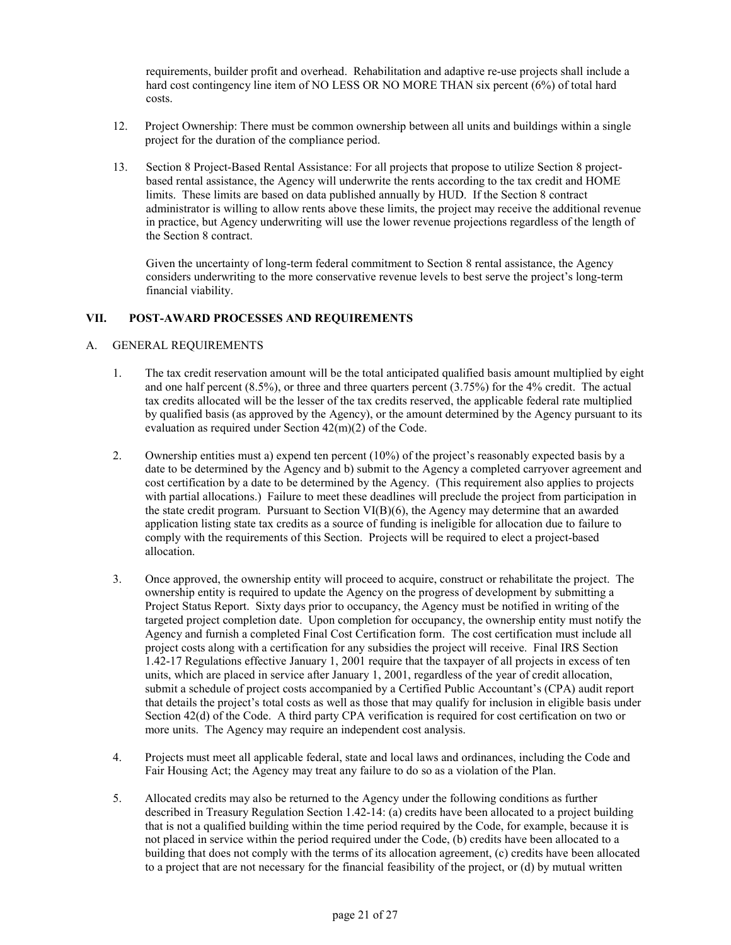requirements, builder profit and overhead. Rehabilitation and adaptive re-use projects shall include a hard cost contingency line item of NO LESS OR NO MORE THAN six percent (6%) of total hard costs.

- 12. Project Ownership: There must be common ownership between all units and buildings within a single project for the duration of the compliance period.
- 13. Section 8 Project-Based Rental Assistance: For all projects that propose to utilize Section 8 projectbased rental assistance, the Agency will underwrite the rents according to the tax credit and HOME limits. These limits are based on data published annually by HUD. If the Section 8 contract administrator is willing to allow rents above these limits, the project may receive the additional revenue in practice, but Agency underwriting will use the lower revenue projections regardless of the length of the Section 8 contract.

 Given the uncertainty of long-term federal commitment to Section 8 rental assistance, the Agency considers underwriting to the more conservative revenue levels to best serve the project's long-term financial viability.

### **VII. POST-AWARD PROCESSES AND REQUIREMENTS**

### A. GENERAL REQUIREMENTS

- 1. The tax credit reservation amount will be the total anticipated qualified basis amount multiplied by eight and one half percent (8.5%), or three and three quarters percent (3.75%) for the 4% credit. The actual tax credits allocated will be the lesser of the tax credits reserved, the applicable federal rate multiplied by qualified basis (as approved by the Agency), or the amount determined by the Agency pursuant to its evaluation as required under Section 42(m)(2) of the Code.
- 2. Ownership entities must a) expend ten percent (10%) of the project's reasonably expected basis by a date to be determined by the Agency and b) submit to the Agency a completed carryover agreement and cost certification by a date to be determined by the Agency. (This requirement also applies to projects with partial allocations.) Failure to meet these deadlines will preclude the project from participation in the state credit program. Pursuant to Section  $VI(B)(6)$ , the Agency may determine that an awarded application listing state tax credits as a source of funding is ineligible for allocation due to failure to comply with the requirements of this Section. Projects will be required to elect a project-based allocation.
- 3. Once approved, the ownership entity will proceed to acquire, construct or rehabilitate the project. The ownership entity is required to update the Agency on the progress of development by submitting a Project Status Report. Sixty days prior to occupancy, the Agency must be notified in writing of the targeted project completion date. Upon completion for occupancy, the ownership entity must notify the Agency and furnish a completed Final Cost Certification form. The cost certification must include all project costs along with a certification for any subsidies the project will receive. Final IRS Section 1.42-17 Regulations effective January 1, 2001 require that the taxpayer of all projects in excess of ten units, which are placed in service after January 1, 2001, regardless of the year of credit allocation, submit a schedule of project costs accompanied by a Certified Public Accountant's (CPA) audit report that details the project's total costs as well as those that may qualify for inclusion in eligible basis under Section 42(d) of the Code. A third party CPA verification is required for cost certification on two or more units. The Agency may require an independent cost analysis.
- 4. Projects must meet all applicable federal, state and local laws and ordinances, including the Code and Fair Housing Act; the Agency may treat any failure to do so as a violation of the Plan.
- 5. Allocated credits may also be returned to the Agency under the following conditions as further described in Treasury Regulation Section 1.42-14: (a) credits have been allocated to a project building that is not a qualified building within the time period required by the Code, for example, because it is not placed in service within the period required under the Code, (b) credits have been allocated to a building that does not comply with the terms of its allocation agreement, (c) credits have been allocated to a project that are not necessary for the financial feasibility of the project, or (d) by mutual written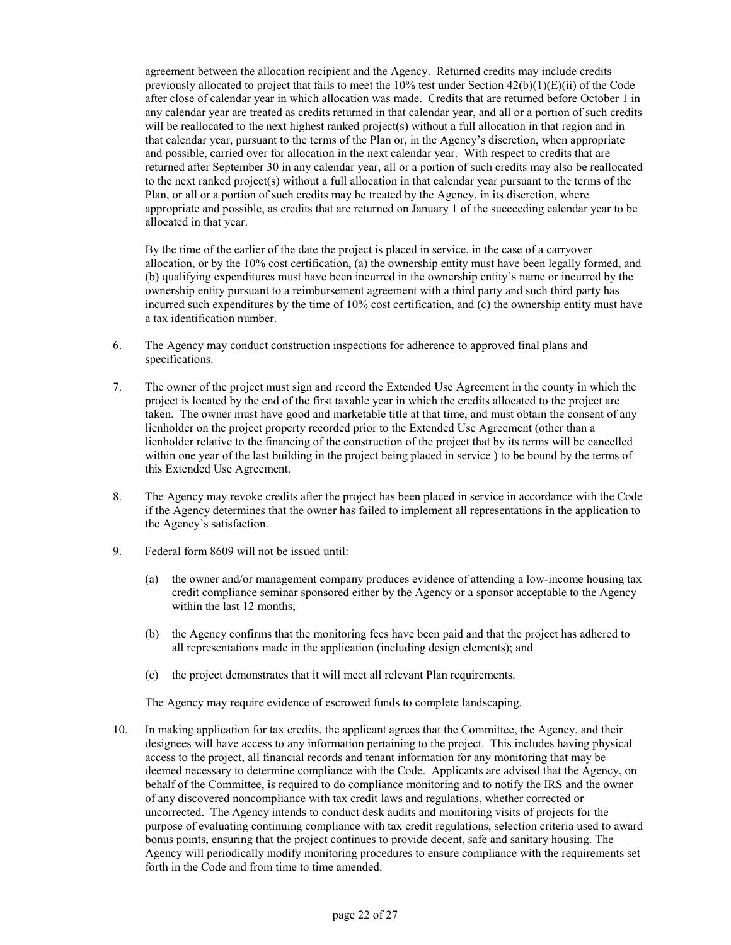agreement between the allocation recipient and the Agency. Returned credits may include credits previously allocated to project that fails to meet the  $10\%$  test under Section  $42(b)(1)(E)(ii)$  of the Code after close of calendar year in which allocation was made. Credits that are returned before October 1 in any calendar year are treated as credits returned in that calendar year, and all or a portion of such credits will be reallocated to the next highest ranked project(s) without a full allocation in that region and in that calendar year, pursuant to the terms of the Plan or, in the Agency's discretion, when appropriate and possible, carried over for allocation in the next calendar year. With respect to credits that are returned after September 30 in any calendar year, all or a portion of such credits may also be reallocated to the next ranked project(s) without a full allocation in that calendar year pursuant to the terms of the Plan, or all or a portion of such credits may be treated by the Agency, in its discretion, where appropriate and possible, as credits that are returned on January 1 of the succeeding calendar year to be allocated in that year.

 By the time of the earlier of the date the project is placed in service, in the case of a carryover allocation, or by the 10% cost certification, (a) the ownership entity must have been legally formed, and (b) qualifying expenditures must have been incurred in the ownership entity's name or incurred by the ownership entity pursuant to a reimbursement agreement with a third party and such third party has incurred such expenditures by the time of 10% cost certification, and (c) the ownership entity must have a tax identification number.

- 6. The Agency may conduct construction inspections for adherence to approved final plans and specifications.
- 7. The owner of the project must sign and record the Extended Use Agreement in the county in which the project is located by the end of the first taxable year in which the credits allocated to the project are taken. The owner must have good and marketable title at that time, and must obtain the consent of any lienholder on the project property recorded prior to the Extended Use Agreement (other than a lienholder relative to the financing of the construction of the project that by its terms will be cancelled within one year of the last building in the project being placed in service ) to be bound by the terms of this Extended Use Agreement.
- 8. The Agency may revoke credits after the project has been placed in service in accordance with the Code if the Agency determines that the owner has failed to implement all representations in the application to the Agency's satisfaction.
- 9. Federal form 8609 will not be issued until:
	- (a) the owner and/or management company produces evidence of attending a low-income housing tax credit compliance seminar sponsored either by the Agency or a sponsor acceptable to the Agency within the last 12 months;
	- (b) the Agency confirms that the monitoring fees have been paid and that the project has adhered to all representations made in the application (including design elements); and
	- (c) the project demonstrates that it will meet all relevant Plan requirements.

The Agency may require evidence of escrowed funds to complete landscaping.

10. In making application for tax credits, the applicant agrees that the Committee, the Agency, and their designees will have access to any information pertaining to the project. This includes having physical access to the project, all financial records and tenant information for any monitoring that may be deemed necessary to determine compliance with the Code. Applicants are advised that the Agency, on behalf of the Committee, is required to do compliance monitoring and to notify the IRS and the owner of any discovered noncompliance with tax credit laws and regulations, whether corrected or uncorrected. The Agency intends to conduct desk audits and monitoring visits of projects for the purpose of evaluating continuing compliance with tax credit regulations, selection criteria used to award bonus points, ensuring that the project continues to provide decent, safe and sanitary housing. The Agency will periodically modify monitoring procedures to ensure compliance with the requirements set forth in the Code and from time to time amended.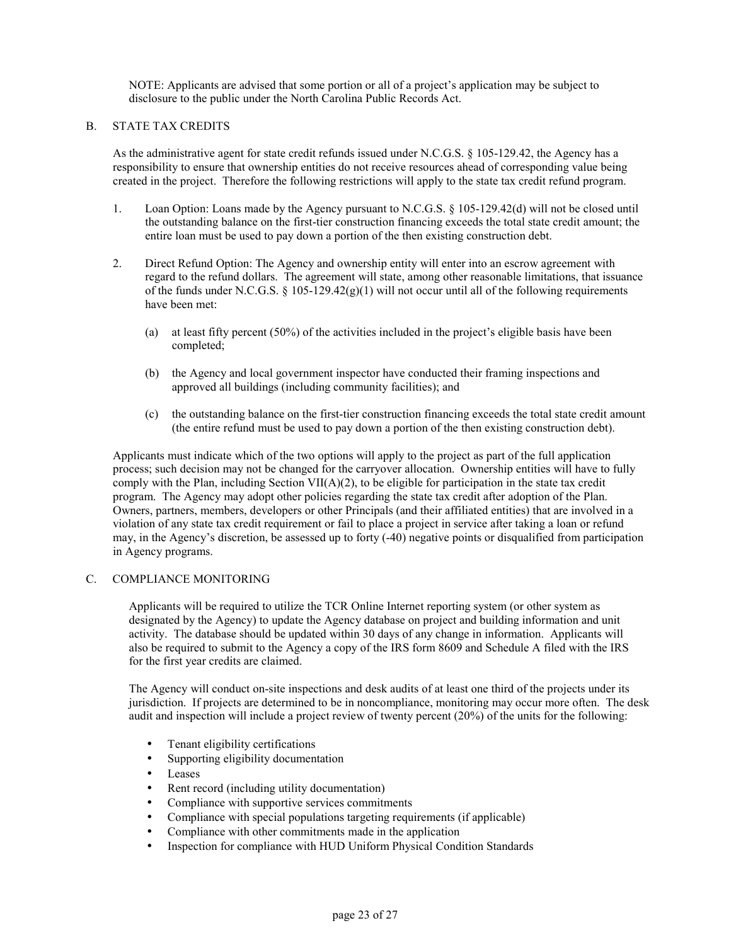NOTE: Applicants are advised that some portion or all of a project's application may be subject to disclosure to the public under the North Carolina Public Records Act.

### B. STATE TAX CREDITS

As the administrative agent for state credit refunds issued under N.C.G.S. § 105-129.42, the Agency has a responsibility to ensure that ownership entities do not receive resources ahead of corresponding value being created in the project. Therefore the following restrictions will apply to the state tax credit refund program.

- 1. Loan Option: Loans made by the Agency pursuant to N.C.G.S. § 105-129.42(d) will not be closed until the outstanding balance on the first-tier construction financing exceeds the total state credit amount; the entire loan must be used to pay down a portion of the then existing construction debt.
- 2. Direct Refund Option: The Agency and ownership entity will enter into an escrow agreement with regard to the refund dollars. The agreement will state, among other reasonable limitations, that issuance of the funds under N.C.G.S.  $\S$  105-129.42(g)(1) will not occur until all of the following requirements have been met:
	- (a) at least fifty percent (50%) of the activities included in the project's eligible basis have been completed;
	- (b) the Agency and local government inspector have conducted their framing inspections and approved all buildings (including community facilities); and
	- (c) the outstanding balance on the first-tier construction financing exceeds the total state credit amount (the entire refund must be used to pay down a portion of the then existing construction debt).

Applicants must indicate which of the two options will apply to the project as part of the full application process; such decision may not be changed for the carryover allocation. Ownership entities will have to fully comply with the Plan, including Section VII( $A$ )(2), to be eligible for participation in the state tax credit program. The Agency may adopt other policies regarding the state tax credit after adoption of the Plan. Owners, partners, members, developers or other Principals (and their affiliated entities) that are involved in a violation of any state tax credit requirement or fail to place a project in service after taking a loan or refund may, in the Agency's discretion, be assessed up to forty (-40) negative points or disqualified from participation in Agency programs.

#### C. COMPLIANCE MONITORING

Applicants will be required to utilize the TCR Online Internet reporting system (or other system as designated by the Agency) to update the Agency database on project and building information and unit activity. The database should be updated within 30 days of any change in information. Applicants will also be required to submit to the Agency a copy of the IRS form 8609 and Schedule A filed with the IRS for the first year credits are claimed.

The Agency will conduct on-site inspections and desk audits of at least one third of the projects under its jurisdiction. If projects are determined to be in noncompliance, monitoring may occur more often. The desk audit and inspection will include a project review of twenty percent (20%) of the units for the following:

- Tenant eligibility certifications
- Supporting eligibility documentation
- Leases
- Rent record (including utility documentation)
- Compliance with supportive services commitments
- Compliance with special populations targeting requirements (if applicable)
- Compliance with other commitments made in the application
- Inspection for compliance with HUD Uniform Physical Condition Standards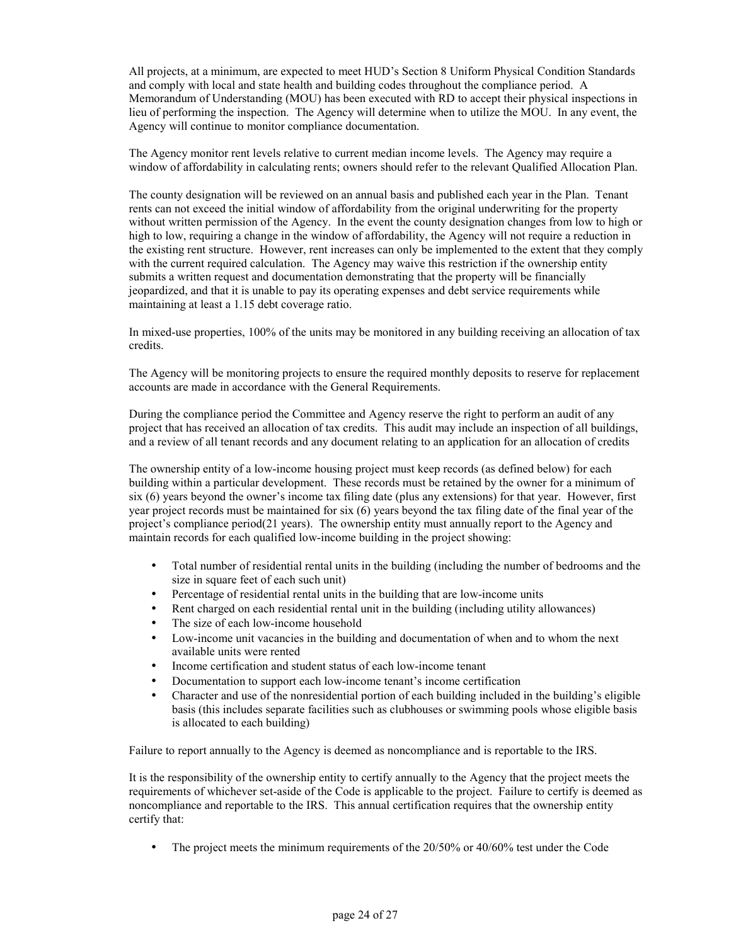All projects, at a minimum, are expected to meet HUD's Section 8 Uniform Physical Condition Standards and comply with local and state health and building codes throughout the compliance period. A Memorandum of Understanding (MOU) has been executed with RD to accept their physical inspections in lieu of performing the inspection. The Agency will determine when to utilize the MOU. In any event, the Agency will continue to monitor compliance documentation.

The Agency monitor rent levels relative to current median income levels. The Agency may require a window of affordability in calculating rents; owners should refer to the relevant Qualified Allocation Plan.

The county designation will be reviewed on an annual basis and published each year in the Plan. Tenant rents can not exceed the initial window of affordability from the original underwriting for the property without written permission of the Agency. In the event the county designation changes from low to high or high to low, requiring a change in the window of affordability, the Agency will not require a reduction in the existing rent structure. However, rent increases can only be implemented to the extent that they comply with the current required calculation. The Agency may waive this restriction if the ownership entity submits a written request and documentation demonstrating that the property will be financially jeopardized, and that it is unable to pay its operating expenses and debt service requirements while maintaining at least a 1.15 debt coverage ratio.

In mixed-use properties, 100% of the units may be monitored in any building receiving an allocation of tax credits.

The Agency will be monitoring projects to ensure the required monthly deposits to reserve for replacement accounts are made in accordance with the General Requirements.

During the compliance period the Committee and Agency reserve the right to perform an audit of any project that has received an allocation of tax credits. This audit may include an inspection of all buildings, and a review of all tenant records and any document relating to an application for an allocation of credits

The ownership entity of a low-income housing project must keep records (as defined below) for each building within a particular development. These records must be retained by the owner for a minimum of six (6) years beyond the owner's income tax filing date (plus any extensions) for that year. However, first year project records must be maintained for six (6) years beyond the tax filing date of the final year of the project's compliance period(21 years). The ownership entity must annually report to the Agency and maintain records for each qualified low-income building in the project showing:

- Total number of residential rental units in the building (including the number of bedrooms and the size in square feet of each such unit)
- Percentage of residential rental units in the building that are low-income units
- Rent charged on each residential rental unit in the building (including utility allowances)
- The size of each low-income household
- Low-income unit vacancies in the building and documentation of when and to whom the next available units were rented
- Income certification and student status of each low-income tenant
- Documentation to support each low-income tenant's income certification
- Character and use of the nonresidential portion of each building included in the building's eligible basis (this includes separate facilities such as clubhouses or swimming pools whose eligible basis is allocated to each building)

Failure to report annually to the Agency is deemed as noncompliance and is reportable to the IRS.

It is the responsibility of the ownership entity to certify annually to the Agency that the project meets the requirements of whichever set-aside of the Code is applicable to the project. Failure to certify is deemed as noncompliance and reportable to the IRS. This annual certification requires that the ownership entity certify that:

• The project meets the minimum requirements of the 20/50% or 40/60% test under the Code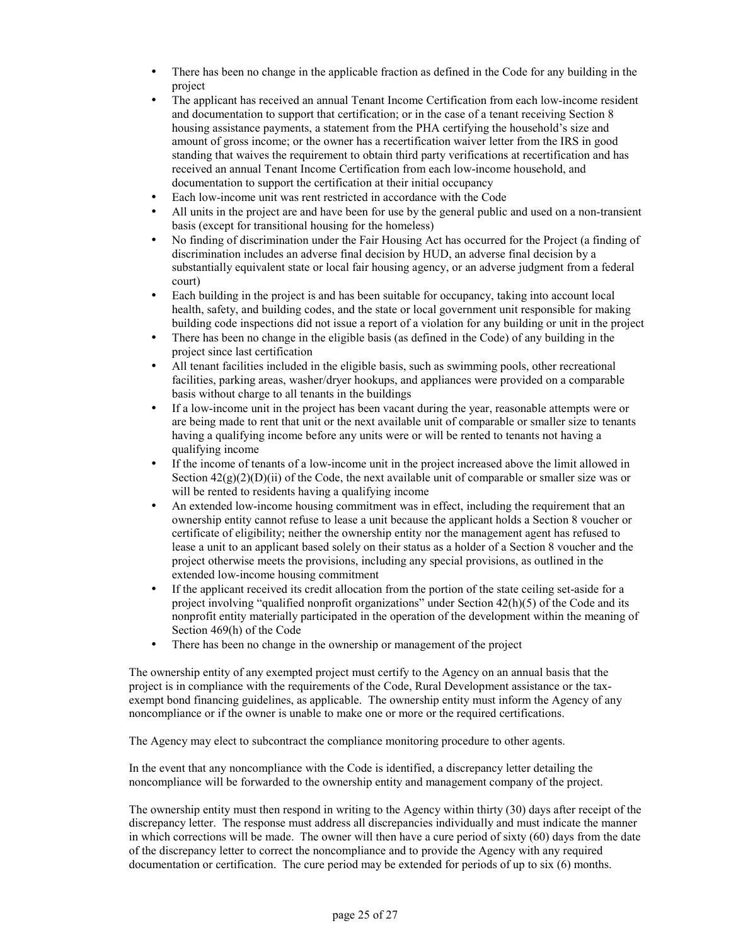- There has been no change in the applicable fraction as defined in the Code for any building in the project
- The applicant has received an annual Tenant Income Certification from each low-income resident and documentation to support that certification; or in the case of a tenant receiving Section 8 housing assistance payments, a statement from the PHA certifying the household's size and amount of gross income; or the owner has a recertification waiver letter from the IRS in good standing that waives the requirement to obtain third party verifications at recertification and has received an annual Tenant Income Certification from each low-income household, and documentation to support the certification at their initial occupancy
- Each low-income unit was rent restricted in accordance with the Code
- All units in the project are and have been for use by the general public and used on a non-transient basis (except for transitional housing for the homeless)
- No finding of discrimination under the Fair Housing Act has occurred for the Project (a finding of discrimination includes an adverse final decision by HUD, an adverse final decision by a substantially equivalent state or local fair housing agency, or an adverse judgment from a federal court)
- Each building in the project is and has been suitable for occupancy, taking into account local health, safety, and building codes, and the state or local government unit responsible for making building code inspections did not issue a report of a violation for any building or unit in the project
- There has been no change in the eligible basis (as defined in the Code) of any building in the project since last certification
- All tenant facilities included in the eligible basis, such as swimming pools, other recreational facilities, parking areas, washer/dryer hookups, and appliances were provided on a comparable basis without charge to all tenants in the buildings
- If a low-income unit in the project has been vacant during the year, reasonable attempts were or are being made to rent that unit or the next available unit of comparable or smaller size to tenants having a qualifying income before any units were or will be rented to tenants not having a qualifying income
- If the income of tenants of a low-income unit in the project increased above the limit allowed in Section  $42(g)(2)(D)(ii)$  of the Code, the next available unit of comparable or smaller size was or will be rented to residents having a qualifying income
- An extended low-income housing commitment was in effect, including the requirement that an ownership entity cannot refuse to lease a unit because the applicant holds a Section 8 voucher or certificate of eligibility; neither the ownership entity nor the management agent has refused to lease a unit to an applicant based solely on their status as a holder of a Section 8 voucher and the project otherwise meets the provisions, including any special provisions, as outlined in the extended low-income housing commitment
- If the applicant received its credit allocation from the portion of the state ceiling set-aside for a project involving "qualified nonprofit organizations" under Section 42(h)(5) of the Code and its nonprofit entity materially participated in the operation of the development within the meaning of Section 469(h) of the Code
- There has been no change in the ownership or management of the project

The ownership entity of any exempted project must certify to the Agency on an annual basis that the project is in compliance with the requirements of the Code, Rural Development assistance or the taxexempt bond financing guidelines, as applicable. The ownership entity must inform the Agency of any noncompliance or if the owner is unable to make one or more or the required certifications.

The Agency may elect to subcontract the compliance monitoring procedure to other agents.

In the event that any noncompliance with the Code is identified, a discrepancy letter detailing the noncompliance will be forwarded to the ownership entity and management company of the project.

The ownership entity must then respond in writing to the Agency within thirty (30) days after receipt of the discrepancy letter. The response must address all discrepancies individually and must indicate the manner in which corrections will be made. The owner will then have a cure period of sixty (60) days from the date of the discrepancy letter to correct the noncompliance and to provide the Agency with any required documentation or certification. The cure period may be extended for periods of up to six (6) months.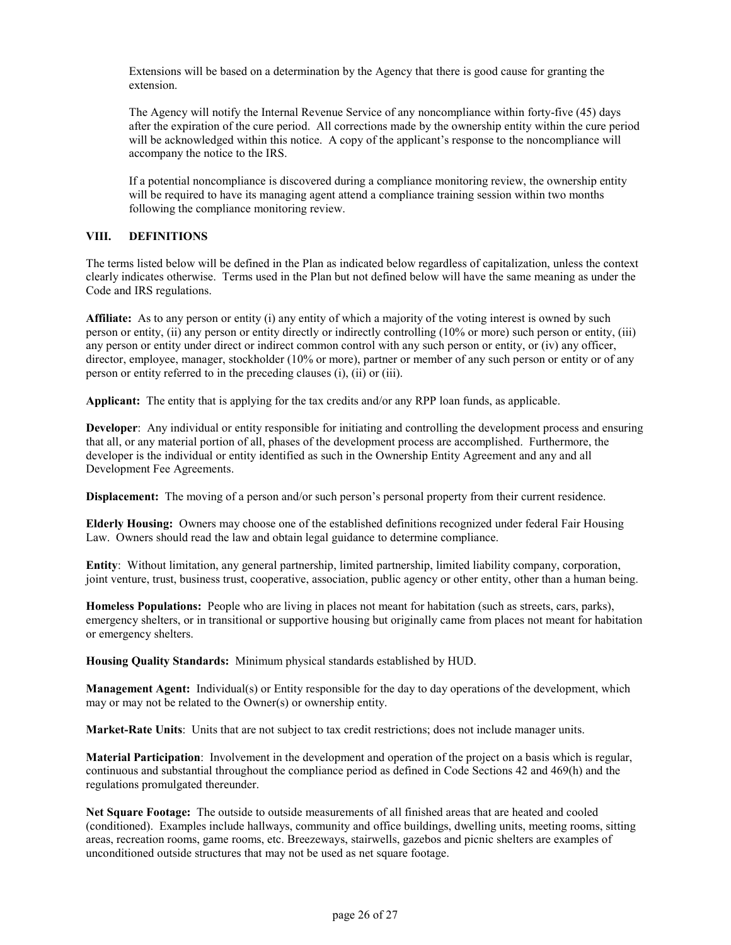Extensions will be based on a determination by the Agency that there is good cause for granting the extension.

The Agency will notify the Internal Revenue Service of any noncompliance within forty-five (45) days after the expiration of the cure period. All corrections made by the ownership entity within the cure period will be acknowledged within this notice. A copy of the applicant's response to the noncompliance will accompany the notice to the IRS.

If a potential noncompliance is discovered during a compliance monitoring review, the ownership entity will be required to have its managing agent attend a compliance training session within two months following the compliance monitoring review.

# **VIII. DEFINITIONS**

The terms listed below will be defined in the Plan as indicated below regardless of capitalization, unless the context clearly indicates otherwise. Terms used in the Plan but not defined below will have the same meaning as under the Code and IRS regulations.

**Affiliate:** As to any person or entity (i) any entity of which a majority of the voting interest is owned by such person or entity, (ii) any person or entity directly or indirectly controlling (10% or more) such person or entity, (iii) any person or entity under direct or indirect common control with any such person or entity, or (iv) any officer, director, employee, manager, stockholder (10% or more), partner or member of any such person or entity or of any person or entity referred to in the preceding clauses (i), (ii) or (iii).

**Applicant:** The entity that is applying for the tax credits and/or any RPP loan funds, as applicable.

**Developer**: Any individual or entity responsible for initiating and controlling the development process and ensuring that all, or any material portion of all, phases of the development process are accomplished. Furthermore, the developer is the individual or entity identified as such in the Ownership Entity Agreement and any and all Development Fee Agreements.

**Displacement:** The moving of a person and/or such person's personal property from their current residence.

**Elderly Housing:** Owners may choose one of the established definitions recognized under federal Fair Housing Law. Owners should read the law and obtain legal guidance to determine compliance.

**Entity**: Without limitation, any general partnership, limited partnership, limited liability company, corporation, joint venture, trust, business trust, cooperative, association, public agency or other entity, other than a human being.

**Homeless Populations:** People who are living in places not meant for habitation (such as streets, cars, parks), emergency shelters, or in transitional or supportive housing but originally came from places not meant for habitation or emergency shelters.

**Housing Quality Standards:** Minimum physical standards established by HUD.

**Management Agent:** Individual(s) or Entity responsible for the day to day operations of the development, which may or may not be related to the Owner(s) or ownership entity.

**Market-Rate Units**: Units that are not subject to tax credit restrictions; does not include manager units.

**Material Participation**: Involvement in the development and operation of the project on a basis which is regular, continuous and substantial throughout the compliance period as defined in Code Sections 42 and 469(h) and the regulations promulgated thereunder.

**Net Square Footage:** The outside to outside measurements of all finished areas that are heated and cooled (conditioned). Examples include hallways, community and office buildings, dwelling units, meeting rooms, sitting areas, recreation rooms, game rooms, etc. Breezeways, stairwells, gazebos and picnic shelters are examples of unconditioned outside structures that may not be used as net square footage.